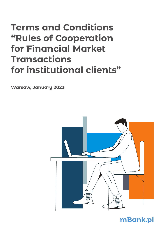# **Terms and Conditions "Rules of Cooperation for Financial Market Transactions for institutional clients"**

**Warsaw, January 2022**



## **mBank.pl**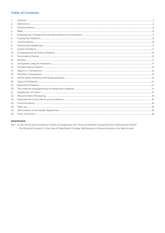### **Table of Contents**

| 1.               |  |
|------------------|--|
| 2.               |  |
| 3.               |  |
| $\overline{4}$ . |  |
| 5.               |  |
| 6.               |  |
| 7.               |  |
| 8.               |  |
| 9.               |  |
| 10.              |  |
| 11.              |  |
| 12.              |  |
| 13.              |  |
| 14.              |  |
| 15.              |  |
| 16.              |  |
| 17.              |  |
| 18.              |  |
| 19.              |  |
| 20.              |  |
| 21.              |  |
| 22.              |  |
| 23.              |  |
| 24.              |  |
| $241$ .          |  |
| 25.              |  |
| 26.              |  |

#### Attachment:

No. 1 to the Terms and Conditions "Rules of Cooperation for Financial Market Transactions for Institutional Clients"

- The Rules of Conduct in the Case of Significant Change, Withdrawal or Discontinuation of a Benchmark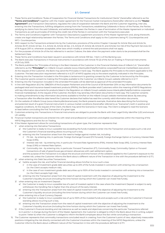#### **§ 1. General**

- 1. These Terms and Conditions "Rules of Cooperation for Financial Market Transactions for Institutional Clients" (hereinafter referred to as the **"Terms and Conditions"**) together with the master agreement for the financial market transactions (hereinafter referred to as the **"Master Agreement"**) and Transaction Descriptions, regulates the rules of cooperation between the Bank and the Customer regarding, inter alia, entering into the Transactions, fulfilling obligations arising from the Transactions, establishing Collaterals in favour of the Parties, the Parties satisfying its claims from the said Collaterals, and settlements between the Parties in case of termination of the Master Agreement or individual Transactions as well as principles of limiting the credit risk of the Parties in connection with the Transactions executed.
- 2. The Terms and Conditions together with Transaction Descriptions supplement provisions of the Master Agreement and, along therewith, create one legal relationship between the Parties. The Terms and Conditions shall apply to the Customers being FC Counterparties and NFC+ Counterparties.
- 3. With respect to the Transactions entered into by the Customers, provisions of the entire Chapter II (except for Article 32a) and Article 34, Articles 35-37, Article 40 Sec. 3-4, Article 45, Article 46 Sec. 2-5, Article 47, Article 48, Article 51, and Articles 144-146 of the Payment Services Act of 19 August 2011 or, whenever acceptable, other laws which modify or amend the said provisions shall not apply.
- 4. For the purposes of Article 54 of the Act referred to in section 3 above, the date when the payment order starts to be processed shall be the Settlement Date.
- 5. These Terms and Conditions have been issued in accordance with Article 109 Sec. 1 Item 4 of the Banking Law.
- 6. The Bank executes Transactions in financial instruments in accordance with Article 70 (2) of the Act on Trading in Financial Instruments of 29 July 2005.
- 7. The Bank publishes the "Principles of Acting in the Best Interests of the Customer in the Financial Markets Area of mBank S.A." (hereinafter referred to as the **"Principles"**) on mBank Group's website (www.mbank.pl/en/help/forms/sme-corporate/financial-market/best-execution/). At the request of the Customer, the Bank may send the Principles in hard copy. The Bank applies the Principles to the extent applicable to the Customer. The best execution requirement referred to in § 27.1 of MiFID applies only to the extent explicitly indicated in the Principles.
- 8. Entering into the Transaction included in the Principles is tantamount to granting consent by the Customer to be bound by the Principles.
- 9. The Customer grants consent to making the Principles available to the Customer via mBank Group's website referred to in § 1.7.
- 10. Entering into the Transaction included in the amended Principles will be deemed as approval of the amended Principles.
- 11. In line with Regulation (EU) No. 1286/2014 of the European Parliament and of the Council of 26 November 2014 on key information documents for packaged retail and insurance-based investment products (PRIIPs), the Bank provides retail Customers within the meaning of MiFID Regulations with key information documents for products listed in the Regulation on mBank Group's website (www.mbank.pl/en/help/forms/sme-corporate/ financial-market/priip/). At the request of the Customer, the Bank may send key information documents in hard copy. The Customer consents to making amendments to key information documents available to him/her on the mBank Group's website mentioned above. By executing a Transaction after the effective date hereof the Customer declares that he/she has read the currently valid information documents.
- 111 . On the website of mBank Group (www.mbank.pl/en/scenariusze), the Bank presents example, illustrative data describing the functioning and potential result of a given financial instrument in various market conditions (hereinafter referred to as "Scenarios"), both in positive and negative conditions. At the request of the Client, the Bank may send the Scenarios in hard copy. The Client is obliged to read the Scenario at least before concluding the first Transaction of a given type.
- 12. Customers entering into Transactions in financial instruments are obliged to provide the Bank with their Legal Entity Identifier (LEI) and ensure LEI validity.
- 13. Financial market transactions are entered into with retail and professional Customers and eligible counterparties within the meaning of the MIFID Regulations and the Act on Trading.
- 14. If the Master Agreement allows for concluding transactions of a given type, the Customer represents that:
	- 1/ when entering into Derivative Transactions:
		- a/ the Customer is ready to incur a possible loss exceeding the funds invested to enter into the Transaction and accepts such a risk and the Customer's financial standing allows incurring such a loss,
		- b/ entering into the Transaction arises from the need to hedge against market risk, including:
			- i/ FX risk by entering into, in particular: Foreign Exchange Forward (FX Forward), Foreign Exchange Option or Currency Interest Rate Swap (CIRS),
			- ii/ Interest rate risk by entering into, in particular: Forward Rate Agreements (FRA), Interest Rate Swap (IRS), Currency Interest Rate Swap (CIRS) or Interest Rate Option
			- iii/ Commodity risk by entering into, in particular: Forward Transaction (FT), Commodity Swap, Commodity Option or Forward transactions of sale of greenhouse gas emission allowances with cash settlement option;
			- and the purpose of the Transaction is to adjust the structure and time horizon of the collateral applied to the Customer's exposure to the market risk, unless the Customer informs the Bank about a different nature of the Transaction in line with the procedure defined in § 17.1,
	- 2/ when entering into Debt Securities Transactions:
		- a/ he/she accepts the risk, and his/her financial standing allows him/her to incur such a loss:
			- $i/$  in the case of investment grade debt securities up to 20% of the funds invested in connection with entering into a transaction (i.e. the Client accepts medium risk),
			- ii/ in the case of non-investment grade debt securities up to 100% of the funds invested in connection with entering into a transaction (i.e. the Client accepts high risk),
		- b/ entering into the Transaction arises from the need of capital investment with the objective of adjusting the investment to the Customer's liquidity structure (including the time horizon during which the Customer can invest free funds),
	- 3/ when entering into an Investment Deposit:
		- a/ the Customer is ready to incur a possible loss of a part of invested capital in the case where the Investment Deposit is subject to early withdrawal, the Handling Fee is higher than the amount of the early interest,
		- b/ entering into the Transaction arises from the need of capital investment with the objective of adjusting the investment to the Customer's liquidity structure (including the time horizon during which the Customer can invest free funds),
	- 4/ when entering into a Dual-Currency Deposit:
		- a/ the Customer is ready to incur a possible loss of up to 100% of the invested funds and accepts such a risk and the Customer's financial standing allows incurring such a loss,
		- b/ entering into the Transaction arises from the need of capital investment with the objective of adjusting the investment to the Customer's liquidity structure (including the time horizon during which the Customer can invest free funds),
	- 5/ if the Customer's financial standing and risk tolerance as well as needs and objectives concerning the particular Transactions referred to in points 1-4 change during the term of the Master Agreement, the Customer is obliged to inform the Bank about this in writing, subject to point 1 letter b) when the Customer is obliged to inform the Bank's employee about this fact while concluding a transaction.
- 15. The Customer represents that commodity transactions concluded result in creating, from the Customer's point of view, objectively measurable positions mitigating the risk directly connected with the Customer's business within the meaning of the MiFID Regulations, unless the Customer informs the Bank about a different nature of the Transaction in line with the procedure defined in § 17.1.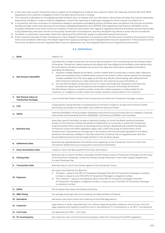- 16. In the case when a given Transaction type is subject to the obligation to trade for the Customer within the meaning of Article 28 of the MiFIR Regulations, the Customer is obliged to inform the Bank about this fact in writing.
- 17. The Customer undertakes to immediately provide the Bank upon its request with any information, documents and data that may be reasonably expected by the Bank in order to fulfill its obligations, in particular reporting or publication obligations, which may be incumbent on it.
- 18. In connection with the conclusion of Transactions based on quotations provided by phone, the Bank does not perform the function of another liquidity provider within the meaning of Commission Delegated Regulation (EU) 2017/575 (UE) supplementing Directive 2014/65/EU of the European Parliament and of the Council on markets in financial instruments with regard to regulatory technical standards concerning the data to be published by execution venues on the quality of execution of transactions, and thus the Bank may refuse to enter into the Transaction.
- 19. The Bank is a systematic internaliser within the meaning of the MiFIR with respect to selected financial instruments.
- 20. If the Customer executes FX Spot Transactions or Term Deposit Transactions in accordance with the Terms and Conditions, the provisions of the Terms and Conditions referring to the Master Agreement apply accordingly to the Integrated Bank Account Agreement. If the provisions of the Terms and Conditions and the Integrated Bank Account Agreement vary, the Integrated Bank Account Agreement shall prevail.

#### **§ 2. Definitions**

| 1. Bank                                               | mBank S.A.                                                                                                                                                                                                                                                                                                                                                                                                                                                                                                                                                                                                                                                                                                                                                                                                                                                                                                                                                                                                                                                                                                                                                       |
|-------------------------------------------------------|------------------------------------------------------------------------------------------------------------------------------------------------------------------------------------------------------------------------------------------------------------------------------------------------------------------------------------------------------------------------------------------------------------------------------------------------------------------------------------------------------------------------------------------------------------------------------------------------------------------------------------------------------------------------------------------------------------------------------------------------------------------------------------------------------------------------------------------------------------------------------------------------------------------------------------------------------------------------------------------------------------------------------------------------------------------------------------------------------------------------------------------------------------------|
| 2. Net Present Value/NPV                              | calculated for a single Transaction, an amount denominated in PLN constituting the Net Present Value<br>of the given Transaction, determined and calculated with due diligence by the Bank; when performing<br>the calculations, the Bank shall take into account the data and information available to the Bank,<br>including the following:<br>1/ valuation models applied by the Bank, current market data (in particular currency rates, reference<br>rates, commodities prices, volatility levels, prices of securities or other indices relevant for the given<br>market) available from the news agency services (e.g. Reuters, Bloomberg), data obtained from<br>other financial institutions or data obtained from the internal sources of the Bank; or<br>2/ the cost that the Bank would have to incur if it had to terminate the Transaction and enter into<br>transactions replacing the Transactions terminated on account of the Early Termination.<br>The Net Present Value is a positive number where the market valuation is unfavourable for the<br>Customer, or a negative number where the market valuation is favourable for the Customer. |
| 3. Net Present Value of<br><b>Transaction Package</b> | a sum of the Net Present Values of the Transactions of which the Transaction Package consists.                                                                                                                                                                                                                                                                                                                                                                                                                                                                                                                                                                                                                                                                                                                                                                                                                                                                                                                                                                                                                                                                   |
| 4. CCP                                                | a legal person acting between counterparties of contracts in trade on at least one financial market,<br>becoming a purchaser for every seller and a seller for every purchaser.                                                                                                                                                                                                                                                                                                                                                                                                                                                                                                                                                                                                                                                                                                                                                                                                                                                                                                                                                                                  |
| 4 <sup>1</sup> . MIFID                                | Directive 2014/65/EU of the European Parliament and of the Council of 15 May 2014 on markets in financial<br>instruments and amending Directive 2002/92/EC and Directive 2011/61/EU (as amended).                                                                                                                                                                                                                                                                                                                                                                                                                                                                                                                                                                                                                                                                                                                                                                                                                                                                                                                                                                |
| 5. Business Day                                       | every day, save for Saturday, Sunday or statutory holiday, on which the Bank conducts business<br>activity on the financial market and performs settlements in currencies, in which the Transaction<br>is denominated; if the Customer is a business entity having it registered seat outside the Republic<br>of Poland to whom the EMIR Legislation apply, then, within the scope of confirmation of the<br>Transactions in Derivatives on the days set in accordance with the principle stipulated in the above<br>sentence, the statutory holidays in the state where the Customer has its registered seat shall also<br>be excluded pursuant to the principle set forth in the sentence above.                                                                                                                                                                                                                                                                                                                                                                                                                                                               |
| 6. Settlement Date                                    | Business Day agreed between the Parties when agreeing on the Transaction Terms on which the<br>Transaction Settlement occurs pursuant to provisions of §8 below.                                                                                                                                                                                                                                                                                                                                                                                                                                                                                                                                                                                                                                                                                                                                                                                                                                                                                                                                                                                                 |
| 7. Early Termination Date                             | a date on which the Bank performs the Early Termination.                                                                                                                                                                                                                                                                                                                                                                                                                                                                                                                                                                                                                                                                                                                                                                                                                                                                                                                                                                                                                                                                                                         |
| 8. Pricing Date                                       | Business Day on which the Bank calculates the Net Present Value of Transaction Package and the value<br>of the Minimum Collaterals. Unless the Parties provide otherwise in the Credit Support Agreement,<br>it is each Business Day.                                                                                                                                                                                                                                                                                                                                                                                                                                                                                                                                                                                                                                                                                                                                                                                                                                                                                                                            |
| 9. Transaction Date                                   | Business Day on which the Parties agree on the Transaction Terms.                                                                                                                                                                                                                                                                                                                                                                                                                                                                                                                                                                                                                                                                                                                                                                                                                                                                                                                                                                                                                                                                                                |
| 10. Exposure                                          | the value calculated by the Bank for:<br>1/ The Bank – equal to the NPV of Transaction Package if the NPV of Transaction Package is a positive<br>number, or equal to zero if the NPV of Transaction Package is a negative number;<br>2/ The Customer – equal to the absolute value of the NPV of Transaction Package if the NPV<br>of Transaction Package is a negative number, or equal to zero if the NPV of Transaction Package<br>is a positive number.                                                                                                                                                                                                                                                                                                                                                                                                                                                                                                                                                                                                                                                                                                     |
| 11. ESMA                                              | the European Securities and Markets Authority.                                                                                                                                                                                                                                                                                                                                                                                                                                                                                                                                                                                                                                                                                                                                                                                                                                                                                                                                                                                                                                                                                                                   |
| 12. NBP Fixing                                        | the average exchange rate announced by the National Bank of Poland.                                                                                                                                                                                                                                                                                                                                                                                                                                                                                                                                                                                                                                                                                                                                                                                                                                                                                                                                                                                                                                                                                              |
| 12 <sup>1</sup> . Derivative                          | derivative instrument within the meaning of the EMIR Regulations.                                                                                                                                                                                                                                                                                                                                                                                                                                                                                                                                                                                                                                                                                                                                                                                                                                                                                                                                                                                                                                                                                                |
| 13. Customer                                          | legal person or other organisational unit without legal personality vested, by virtue of law, with the<br>legal capacity and capacity to perform acts in law being an FC Counterparty or an NFC+ Counterparty.                                                                                                                                                                                                                                                                                                                                                                                                                                                                                                                                                                                                                                                                                                                                                                                                                                                                                                                                                   |
| 14. Civil Code                                        | Act dated 23 April 1964 - Civil Code.                                                                                                                                                                                                                                                                                                                                                                                                                                                                                                                                                                                                                                                                                                                                                                                                                                                                                                                                                                                                                                                                                                                            |
| 15. FC Counterparty                                   | the Customer who is the Financial Counterparty within the meaning of the EMIR Legislation.                                                                                                                                                                                                                                                                                                                                                                                                                                                                                                                                                                                                                                                                                                                                                                                                                                                                                                                                                                                                                                                                       |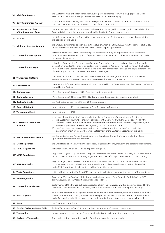| 16. NFC+Counterparty                              | the Customer who is the Non-Financial Counterparty as referred to in Article 10(1)(b) of the EMIR<br>Regulation to whom Article 10(2) of the EMIR Regulation does not apply.                                                                                                                                                                                                                                                                                                                                                                                        |
|---------------------------------------------------|---------------------------------------------------------------------------------------------------------------------------------------------------------------------------------------------------------------------------------------------------------------------------------------------------------------------------------------------------------------------------------------------------------------------------------------------------------------------------------------------------------------------------------------------------------------------|
| 17. Early Termination Amount                      | an amount of the cash obligation calculated by the Bank that is due to the Bank from the Customer<br>or to the Customer from the Bank on account of Early Termination.                                                                                                                                                                                                                                                                                                                                                                                              |
| 18. Amount of the Limit<br>of the Customer / Bank | the amount up to which the Customer or the Bank is discharged from an obligation to establish the<br>Required Collateral if this amount is provided in the Credit Support Agreement.                                                                                                                                                                                                                                                                                                                                                                                |
| 18 <sup>1</sup> . Mark-up                         | the difference between the Transaction price quoted for the Customer and the price of maintaining<br>the position by the Bank.                                                                                                                                                                                                                                                                                                                                                                                                                                      |
| 19. Minimum Transfer Amount                       | the amount determined as such in $\S$ 19, the value of which is PLN 10,000.00 (ten thousand) Polish Zloty,<br>unless the Parties provided otherwise in the Credit Support Agreement.                                                                                                                                                                                                                                                                                                                                                                                |
| 20. Transaction Description                       | description delivered to the Customer by the Bank constituting an appendix to these Terms and<br>Conditions, containing description of specific Transactions selected by the Customer executed under<br>the Master Agreement.                                                                                                                                                                                                                                                                                                                                       |
| 21. Transaction Package                           | collection of non-settled Derivative and/or other Transactions, on the condition that the Transaction<br>Description provides that they form parts of the Transaction Package. The Parties may, in the Master<br>Agreement or the Credit Support Agreement, divide the Transaction Package and apply different rules<br>of Credit Support to such separated Transaction Packages.                                                                                                                                                                                   |
| 22. Transaction Platform                          | electronic distribution channel made available by the Bank through the Internet Customer service<br>system: mBank CompanyNet that allows to agree on the Transaction Terms                                                                                                                                                                                                                                                                                                                                                                                          |
| 23. Confirmation                                  | document or information in an electronic form prepared by the Bank presenting the Transaction Terms<br>agreed by the Parties.                                                                                                                                                                                                                                                                                                                                                                                                                                       |
| 24. Banking Law                                   | [Polish] Act dated 29 August 1997 - Banking Law (as amended).                                                                                                                                                                                                                                                                                                                                                                                                                                                                                                       |
| 25. Bankruptcy Law                                | [Polish] Act dated 28 February 2003 – Bankruptcy and Reconstruction Law (as amended).                                                                                                                                                                                                                                                                                                                                                                                                                                                                               |
| 25 <sup>1</sup> . Restructuring Law               | the Restructuring Law Act of 15 May 2015 (as amended).                                                                                                                                                                                                                                                                                                                                                                                                                                                                                                              |
| 26. Event of Default                              | event referred to in § 9.1 that may trigger Early Termination Procedure.                                                                                                                                                                                                                                                                                                                                                                                                                                                                                            |
| 27. Termination Event                             | event referred to in § 11.1.                                                                                                                                                                                                                                                                                                                                                                                                                                                                                                                                        |
| 28. Customer's Settlement<br><b>Account</b>       | an account for settlement of claims under the Master Agreement, Transactions or Collaterals:<br>the Customer's (current or shadow) bank account maintained with the Bank, specified by the<br>1/<br>Customer in the Information Sheet or other written statement of the Customer approved by the<br>Bank or stipulated in the course of agreeing on the Transaction Terms;<br>2/ the Customer's bank account maintained by other bank specified by the Customer in the<br>Information Sheet or in any other written statement of the Customer accepted by the Bank. |
| 29. Bank's Settlement Account                     | the Bank's Settlement Account specified by the Bank for settlement of claims under the Master<br>Agreement, Transactions or Collaterals.                                                                                                                                                                                                                                                                                                                                                                                                                            |
| <b>30. EMIR Legislation</b>                       | the EMIR Regulation along with the secondary legislation thereto, including the delegated regulations.                                                                                                                                                                                                                                                                                                                                                                                                                                                              |
| 30 <sup>1</sup> . MIFID Regulations               | MiFID together with delegated and implementing acts.                                                                                                                                                                                                                                                                                                                                                                                                                                                                                                                |
| 30 <sup>2</sup> . MIFIR Regulations               | Regulation (EU) No 600/2014 of the European Parliament and of the Council of 15 May 2014 on markets in<br>financial instruments and amending Regulation (EU) No 648/2012 (as amended) with implementing acts.                                                                                                                                                                                                                                                                                                                                                       |
| 30 <sup>3</sup> . SFTR Legislation                | Regulation (EU) No 2015/2365 of the European Parliament and of the Council of 25 November 2015<br>on transparency of securities financing transactions and of reuse and amending Regulation (EU)<br>No 648/2012, together with delegated and implementing acts.                                                                                                                                                                                                                                                                                                     |
| 31. Trade Repository                              | entity authorised under EMIR or SFTR Legislation to collect and maintain the records of Transactions.                                                                                                                                                                                                                                                                                                                                                                                                                                                               |
| 32. EMIR Regulation                               | Regulation (EU) No 648/2012 of the European Parliament and of the Council of 4 July 2012 on OTC<br>derivatives, central counterparties and trade repositories.                                                                                                                                                                                                                                                                                                                                                                                                      |
| 33. Transaction Settlement                        | performance of the Parties' obligations resulting from the Transaction within deadlines agreed by the<br>Parties or, if the performance is delayed, within later deadlines pursuant to the provisions of §8.                                                                                                                                                                                                                                                                                                                                                        |
| 34. Force Majeure                                 | an extraordinary factual or legal event that could not have been foreseen, avoided or prevented by the<br>Parties in the normal course, as a result of which performance of settlement or other activities related<br>to the Transactions, the Master Agreement or the Credit Support Agreement becomes impossible.                                                                                                                                                                                                                                                 |
| 35. Party                                         | the Customer or the Bank.                                                                                                                                                                                                                                                                                                                                                                                                                                                                                                                                           |
|                                                   |                                                                                                                                                                                                                                                                                                                                                                                                                                                                                                                                                                     |
| 36. Foreign Exchange Rates Table                  | Table of FX rates of mBank S.A., applicable at the moment of currency conversion.                                                                                                                                                                                                                                                                                                                                                                                                                                                                                   |
| <b>37. Transaction</b>                            | transaction entered into by the Customer with the Bank under the Master Agreement.                                                                                                                                                                                                                                                                                                                                                                                                                                                                                  |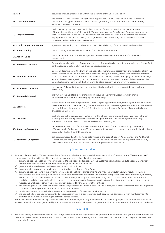| 38 <sup>1</sup> , SFT             | securities financing transaction within the meaning of the SFTR Legislation.                                                                                                                                                                                                                                                                                                                                                                                                                                                      |
|-----------------------------------|-----------------------------------------------------------------------------------------------------------------------------------------------------------------------------------------------------------------------------------------------------------------------------------------------------------------------------------------------------------------------------------------------------------------------------------------------------------------------------------------------------------------------------------|
| <b>39. Transaction Terms</b>      | the essential terms (essentialia negotii) of the given Transaction, as specified in the Transaction<br>Descriptions and, provided that such terms are agreed, any other additional Transaction terms,<br>as agreed between the Parties.                                                                                                                                                                                                                                                                                           |
| <b>40. Early Termination</b>      | performance by the Bank, as a result of occurrence of Event of Default or Termination Event,<br>of immediate settlement of all or certain Transactions, save for Term Deposit Transactions, pursuant<br>to these Terms and Conditions. (19) Minimum Transfer Amount - the amount determined as such<br>in § 19, the value of which is PLN 10,000.00 (ten thousand) Polish Zloty, unless the Parties provided<br>otherwise in the Credit Support Agreement.                                                                        |
| 41. Credit Support Agreement      | agreement regulating the conditions and rules of establishing of the Collateral by the Parties.                                                                                                                                                                                                                                                                                                                                                                                                                                   |
| 41 <sup>1</sup> . Act on Trading  | Act on Trading in Financial Instruments of 29 July 2005, as amended.                                                                                                                                                                                                                                                                                                                                                                                                                                                              |
| 41 <sup>2</sup> . Act on Funds    | Act on Investment Funds and Management of Alternative Investment Funds of 27 May 2004,<br>as amended.                                                                                                                                                                                                                                                                                                                                                                                                                             |
| <b>42. Additional Collateral</b>  | Collateral established by the Party (other than the Required Collateral or Minimum Collateral), specified<br>as the Additional Collateral in the Credit Support Agreement.                                                                                                                                                                                                                                                                                                                                                        |
| 43. Minimum Collateral            | Collateral determined by the Bank on the basis of comprehensive assessment of risk resulting from the<br>given Transaction, taking into account in particular its type, currency, Transaction amounts, nominal<br>values, the term for which it has been executed, price volatility level or underlying instrument volatility<br>level. In the course of agreeing on the Transaction Terms, upon express request of the Customer, the<br>Bank shall specify the value of the Minimum Collateral concerning any given Transaction. |
| 44. Established Collateral        | the value of Collateral (other than the Additional Collateral) which has been established in favour<br>of the Party.                                                                                                                                                                                                                                                                                                                                                                                                              |
| 45. Required Collateral           | the value of the Collateral determined in § 19, securing the Party's Exposure, which should<br>be established in favour of that Party by the other Party.                                                                                                                                                                                                                                                                                                                                                                         |
| 46. Collateral                    | as stipulated in the Master Agreement, Credit Support Agreement or any other agreement, a Collateral<br>to secure the Bank's claims resulting from the Transactions or Master Agreement executed that should<br>be established in favour of the Party. A Collateral may be a Required Collateral, Minimum Collateral<br>or Additional Collateral.                                                                                                                                                                                 |
| 47. Tax Event                     | such change in the provisions of the tax law or the official interpretation thereof as a result of which<br>if a Party intends to duly perform its financial obligations under the Master Agreement or any<br>Transaction, the Party needs to incur excessive costs or glaring loss.                                                                                                                                                                                                                                              |
| <b>48. Report on Transaction</b>  | report on execution, modification, termination, adjustment of or any other activity concerning<br>a Transaction in Derivatives or an SFT, made in accordance with the principles and within the deadlines<br>specified in the EMIR or SFTR Legislation.                                                                                                                                                                                                                                                                           |
| <b>49. Additional Obligations</b> | obligations imposed on the Party, as determined in the Credit Support Agreement as the Additional<br>Obligations, the non-performance of which vests the Party with the right to request the other Party<br>to establish the Additional Collateral or constituting the Termination Event.                                                                                                                                                                                                                                         |

#### **§ 3. General Advice**

- 1. As a part of entering into Transactions with the Customers, the Bank may provide investment advice of general nature ("general advice"), concerning investing in financial instruments in accordance with the following principles:
	- 1/ general advice shall not be provided with regard to the needs and situation of the Customer nor shall it constitute a recommendation to undertake specific steps in connection with a given financial instrument,
	- 2/ general advice may be provided by phone, verbally, or in writing,
	- 3/ general advice may only be provided by the authorised employees of the Bank,
	- 4/ general advice shall consist in providing information about financial instruments and may, in particular, apply to results (including historical results) of investing in financial instruments, comparison of financial instruments, comparison of services provided by the Bank, information on the characteristics of financial instruments, including the benefits of using them, the associated risks, the terms and conditions, and the situation in which they can be used, providing the Customers with information about the market situation, market reports and analyses or other type of information prepared by the Bank or other entities,
	- 5/ provision of general advice shall not account for the preparation of investment or financial analyses or other recommendation of a general character concerning the Transactions on financial instruments,
	- 6/ provision of general advice shall not account for the provision of investment advice service,
	- 7/ the Bank shall not provide investment advice services unless, in order to provide such service, the Bank enters with the Customer into a written agreement on providing investment advice services.
- 2. The Bank shall not be liable for any actions or investment decisions, or for any investment results, including in particular under the Transactions entered into with the Bank, generated by the Customer in connection with providing general advice, or for results of such actions and decisions.

#### **§ 4. Risks**

1. The Bank, acting in accordance with its knowledge of the market and experience, shall present the Customer with a general description of the risks attributable to the transactions on financial instruments. When entering into a Transaction, the Customer should in particular take into account the following: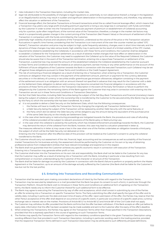- risks indicated in the Transaction Description, including the market risks,
- 2/ legal risk attributable to the possibility of changes to legal regulations or, potentially, to non-observance thereof; a change in the legislation or an illegal/unlawful activity may result in sudden and significant deterioration in the business parameters, and, therefore, may adversely affect the valuation or settlement of the Transaction,
- 3/ financial leverage effect; the Derivative Transactions or forward transactions entail the so-called financial leverage effect, which means that a Transaction may yield a very large profit (including premium payment) or bring a very large loss in comparison with funds committed by the Customer in order to enter into the Transaction (in particular payment of premium or establishment of Collateral) accounting only for a portion, quite often insignificant, of the nominal value of the Transaction; therefore, a change in the market risk factors may result in a proportionally greater change in the current pricing of the Transaction (Net Present Value) or the amount of settlement of the Transaction in comparison with the funds committed by the Customer,
- 4/ potentially high volatility of prices and valuations of the Transaction, understood as the volume of the price or the Transaction valuation fluctuations in specific time frames; considering that the Transaction is an instrument of the over-the-counter market (so-called "OTC Market"), Transaction valuation and price may be subject to high, quite frequently salutatory, changes, even in short time intervals, and the dynamics of these changes may take various levels; high volatility may in particular be the result of a limited volatility of the OTC market,
- 5/ requirements related to establishing the Collaterals; in accordance with these Terms and Conditions, the Customer shall be obligated to establish a Collateral for the Transaction settlement; as a result of adverse market changes that have effect on deterioration in the valuation of the Transaction, the Customer may need to supplement the Collateral up to the value of the Required Collateral; the Customer should also be aware that in the event of the Transaction termination, entering into a repurchase Transaction or settlement of the Transaction, a potential loss may exceed the amount of the established Collateral; the Collateral established by the Customer pursuant to these Terms and Conditions shall not be treated as an advance payment, earnest money or any other performance on the account of the fulfilment of future obligations of the Customer towards the Bank in connection with the executed Transaction; such Collateral may be set off against those obligations pursuant to these Terms and Conditions or the Credit Support Agreement,
- The risk of contracting a financial obligation as a result of entering into a Transaction; when entering into a Transaction, the Customer contracts an obligation that may consist in the payment of the settlement amount, premium or payment for the currency delivered, securities or in the delivery of currency or securities and/or greenhouse gas emission allowances; obligation consisting in the payment of the settlement amount is an obligation with an amount thereof not specified in advance that may result for the Customer with a debt on the Settlement Date; obligation to deliver sold currency may become converted into financial obligation in accordance with the provisions of these Terms and Conditions or the Transaction Description in the event of the Early Termination or failure to perform the obligations by the Customer; the remaining claims of the Bank against the Customer that may arise in connection with entering into the Transaction are set out in these Terms and Conditions or Transaction Description.
- 7/ the fact that Debt Securities, including Debt Securities being the subject of the Sell-Buy-Back Transactions and financial (monetary) means being the subject of collateral under which the ownership title is transferred by the Customer to the secured entity (the Bank) may be used by the Party to which the ownership title has been transferred. As a result:
	- a/ it is not possible to deliver a Debt Security on the Settlement Date, which has the following consequences:
		- i. the Parties will have to modify the Transaction Terms by changing the originally set Transaction Settlement Date or
		- ii. a Debt Security being the subject of the Transaction will be replaced by another Debt Security with the same features, or
		- iii. the Party which did not deliver the Debt Security will be obliged to pay the amount being the equivalent of the purchase price of the same Debt Security on the initially set Settlement Date;
	- b/ in the case when bankruptcy or restructuring proceedings are instigated towards the Bank, the procedure and rules of refunding of the collateral provided will be subject to relevant provisions of the Bankruptcy or Restructuring Law,
	- c/ in the case when the collateral is seized by the authority which has initiated enforcement proceedings towards the Bank, the Customer may demand the return of the collateral from the Bank, however, this case may lead to a situation presented in letter a).
	- The measures referred to in letter a) may cause a loss in the case when one of the Parties undertakes an obligation towards a third party, the subject of which will be the Debt Security not delivered on time.

 Entering into the Transaction after the effective date of this provision will be treated as the Customer's consent to using the collateral transferred to the Bank.

- 2. The Customer should carry out assessment of the risk, financial, legal, accounting and tax consequences as well as suitability of the financial market Transactions for his business activity; the assessment should be performed by the Customer on his own or by way of obtaining professional advice from independent entities that have relevant knowledge and experience in this respect.
- 3. The Bank shall not guarantee that the Customer achieves any specific economic result in connection with execution of the Transaction. Entering into a Transaction may generate either profit or loss.
- 4. The Customer shall enter into the Transactions on his own risk and responsibility; the Bank shall not be liable to the Customer for any loss that the Customer may suffer as a result of entering into a Transaction with the Bank, including in particular a loss resulting from noncomprehension or incorrect understanding by the Customer of the character or structure of the Transaction.
- The Bank shall be liable for damage incurred by the Customer in connection with the Bank's failure to perform or properly perform the Master Agreement or the Transaction, up to an amount of the damage actually suffered by the Customer (the Bank shall be liable for the Customer's loss but not for the lost profits).

#### **§ 5. Entering into Transactions and Recording Communication**

- Transaction shall be executed upon making concordant declarations of intent by the Parties with regard to the Transaction Terms.
- 2. Transaction may be executed by telephone or e-mail (provided that the Bank has given its consent to such a form), in particular through the Transaction Platform. Should the Bank wish to introduce in these Terms and Conditions an additional form of agreeing on the Transaction terms, the Bank needs only to inform the Customer thereof for such additional form to be effective.
- 3. The Bank may agree to executing the Transactions by way of offer and acceptance, which shall consist in submitting by one of the Parties an offer for entering into a Transaction on specific Transaction Terms. The Party submitting the offer shall specify the type of the offer and its validity date, including in particular the date and exact time of expiry of the offer. Upon submission of the offer, the Parties may reserve that the other Party's acceptance of the offer shall depend on occurrence of a specific event, in particular occurrence of a specific asset price, currency exchange rate or interest rate on the market. Provisions of Article 66<sup>1</sup> § 1 to Article 66<sup>1</sup> § 3 and Article 68<sup>2</sup> of the Civil Code shall not apply.
- 4. The Customer may withdraw its offer, provided that the Bank confirms that the offer has been withdrawn. If the Bank accepts an offer just before its expiry date, information that the offer has been accepted may be made available and sent to the Customer after the expiry of the offer's deadline.
- 5. When entering into Transactions, the Parties may agree on the Transaction Terms other than those specified in the Transaction Descriptions, provided that this is expressly specified in the course of agreeing on such Transaction Terms.
- 6. The Parties may specify the Transaction Terms with regard to the mandatory conditions specified in the given Transaction Description using wording different than that provided in such Transaction Description, including in particular wording used in the trading practice, provided that the respective Transaction Terms defined in such Transaction Description may be attributed to such differently phrased definitions.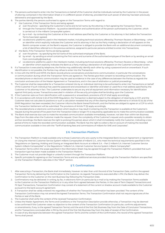- 7. The persons authorised to enter into the Transactions on behalf of the Customer shall be individuals named by the Customer in the power of attorney contained in the Information Sheet or in a different power of attorney, provided that such power of attorney has been previously delivered to and approved by the Bank.
- 8. The parties identify the persons authorised to agree on the Transaction Terms with regard to:
	- 1/ the Customer, if the Transaction Terms are being agreed:
		- a/ over the phone specifying the Customer's name and its full name, by the attorney in fact agreeing the Transaction Terms; b/ through the Transaction Platform – by positive identification and authentication of the person authorised by the Customer, which
			- is carried out in the mBank CompanyNet system;
		- c/ by e-mail by contacting the Customer at the e-mail address specified by the Customer or his attorney in fact before the Transaction Terms have been agreed;
		- d/ via electronic platforms used in the interbank market, including technical solutions offered by Thomson Reuters or Bloomberg when an identifier which explicitly indicates the Customer and its attorney in fact as the Party making a declaration of will appears on the Bank's computer screen; at the Bank's request, the Customer is obliged to provide the Bank with an additional document containing a list of identifiers referred to in the previous sentence, assigned to particular persons entitled to enter into Transactions;
	- 2/ the Bank, if the Transaction Terms are being agreed:
		- a/ over the phone by specifying the full name of the authorised employee of the Bank;
		- b/ by email by sending an email containing the first name and surname of the authorised employee of the Bank or by sending an email from commodity@mbank.pl;
		- c/ via electronic platforms used in the interbank market, including technical solutions offered by Thomson Reuters or Bloomberg when an identifier which explicitly indicates the Bank as a Party making a declaration of will appears on the Customer's computer screen.
- 9. If a Transaction is executed by telephone, the Parties may additionally identify each other by using a password and an answerback. If such identification is not possible, the Parties may refuse to enter into the Transaction.
- 10. In line with the MiFID and MiFIR, the Bank records phone conversations and electronic communication, in particular the conversations or communication during which the Transaction Terms are agreed on. The Parties give their consent to recording communication. The recorded phone or electronic communication may be used as evidence in the case of any differences between the Parties as regards the conclusion and execution of the Master Agreement or Transactions, and in the case of arbitration or judicial proceedings.
- 11. The Customer shall be responsible for a Transaction entered into by an individual claiming to be authorised to enter into Transactions on behalf of the Customer if such individual has used the password and answerback or identifier and token or used the e-mail address specified by the Customer or his attorney in fact. The Customer undertakes to secure any and all equipment and information necessary for identification against third party access. Transactions executed in violation of the security principles shall be binding upon the Customer.
- 12. If the Customer opts out from identification with a password or answerback, provisions of § 5.11 shall apply accordingly.
- 13. If, in accordance with Article 5 (2) of the EMIR Regulation, the Transaction is deemed subject to the obligation of clearing by a CCP, and the Customer does not calculate its positions or such a calculation revealed that any of the clearing thresholds referred to in Article 10 (4) (b) of the EMIR Regulation has been exceeded, the Customer informs the Bank thereof forthwith, and the Parties are obliged to agree on a CCP to which the Transaction Settlement will be submitted. The provisions of Article 17 (5) apply accordingly.
- 14. The recorded phone or electronic communication which results or may result in entering into the Transaction is available at the Customer's request during the period of five years from the Transaction Date or longer if it is required by applicable law to make the communication available.
- 15. The Bank shall exercise due care to make the recorded communication available immediately, however, not later than within ten Business Days from the date when the Customer made the request. Given the complexity of the Customer's request and a possible necessity to obtain archive recordings, the Bank reserves the right to prolong this period, about which it shall immediately notify the Customer, indicating a new period of time to make the recorded communication available. The Bank has the right to collect a fee on account of making the recorded communication available in line with the "Tariff of banking fees and commissions of mBank for SME and Corporates".

#### **§ 6. Transaction Platform**

- 1. The Transaction Platform is made available only to those Customers who are a party to the Integrated Bank Account Agreement or Agreement on Using the Internet Customer Service System mBank CompanyNet of mBank S.A., who meet the technical requirements specified in the "Regulations on Opening, Holding and Closing an Integrated Bank Account at mBank S.A. – Part 2 mBank S.A. Internet Customer Service System mBank CompanyNet" or the Regulations "mBank S.A. Internet Customer Service System mBank CompanyNet".
- 2. Transaction Terms within the scope specified in the Information Sheet may be agreed through the Transaction Platform, provided that such transaction type has been made available in the Transaction Platform.
- 3. The Customer must not provide illegal or unlawful content through the Transaction Platform.
- 4. Specific principles for agreeing on the Transaction Terms and any additional services provided through the Transaction Platform are specified on the Transaction Platform web sites in the "HELP" section.

#### **§ 7. Confirmations**

- 1. After executing a Transaction, the Bank shall immediately, however no later than until the end of the Transaction Date, confirm the agreed Transaction Terms by delivering the Confirmation to the Customer. As regards Transactions executed after 4 PM, the Bank may deliver the Confirmation to the Customer on the next Business Day following the Transaction Date.
- 2. Confirmations may be delivered: in writing, by fax, in electronic form (in particular by e-mail or by making the Transaction Terms available to the Customer on the Transaction Platform) or in any other form agreed between the Parties. In the case of Term Deposit Transactions and FX Spot Transactions, Transaction Confirmation may consist of a statement of the current or shadow account made available to the Customer pursuant to the bank account agreement.
- 3. A Transaction shall be validly entered into regardless of whether the Transaction Confirmation has been provided. The content of the Transaction Confirmation may not amend the Agreed Transaction Terms. The Transaction Confirmation shall not require signatures of the Parties or seal of the Bank.
- 4. The Customer shall verify the content of the received Transaction Confirmation.
- 5. Unless the Master Agreement, the Terms and Conditions or the Transaction Description provide otherwise, a Transaction may be deemed to be confirmed if the Customer raises no objection to the content of the Transaction Confirmation (in particular, confirms adjustments or amendments, if any, to the agreed Transaction Terms) until the end of the first (1st) Business Day from the Date of Conclusion Transactions, and for Transactions concluded after 4 PM by the end of the first (1st) Business Day from the date of receipt of the Confirmation.
- In case of any discrepancies between the agreed Transaction Terms and the content of the Confirmation, the record of the agreed Transaction Terms shall prevail.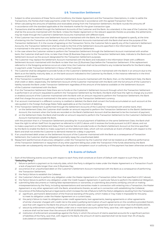#### **§ 8. Transaction Settlement**

- 1. Subject to other provisions of these Terms and Conditions, the Master Agreement and the Transaction Descriptions, in order to settle the Transactions, the Parties shall make payments under the Transaction(s) in accordance with the agreed Transaction Terms.
- 2. When calculating the amounts of liabilities and receivables arising from the Transaction Settlement, the Bank rounds the amounts off in accordance with the standard applicable at the interbank market for the given transaction type.
- 3. Transactions shall be settled through the Settlement Accounts of the Customer and the Bank. As a standard, in the case of the Customer, they shall be the accounts maintained with the Bank. Unless the Master Agreement or the relevant appendix thereto so provides, the settlements may be made through the Customer's Settlement Accounts maintained with different bank.
- 4. If the Customer has more than one Settlement Account maintained with the Bank, the Customer shall be obligated to specify, at the time of entering into the Transaction at the latest, which of the Settlement Accounts maintained with the Bank shall serve the purpose of the Transaction Settlement. If, in the course of agreeing on the Transaction Terms, the Customer fails to specify any of the Customer's Settlement Accounts, the Transaction Settlement shall be made to the first of the Settlement Accounts specified in the Information Sheet that is maintained in the same currency as the currency of the Transaction Settlement.
- 5. In the case where the Customer wishes to perform the Transaction Settlement through the Settlement Account maintained with another bank, the Customer shall each time, no later than three (3) Business Days prior to the Transaction Settlement date, indicate to the Bank such Settlement Account as the account designated for the Transaction Settlement purposes.
- 6. The Customer may replace the Settlement Account maintained with the Bank and indicated in the Information Sheet with a different Settlement Account maintained with the Bank no later than two (2) Business Days before the Transaction Settlement. If the replacement referred to in the foregoing sentence occurs at a later time, the Customer shall not be entitled to any incidental benefits for the Bank's delay in payment under Transaction Settlement in favour of the Customer.
- 7. The Customer shall be obligated to provide funds on the Customer's Settlement Account maintained with the Bank in an amount due to the Bank as at the liability maturity date, or, on the bank account indicated to the Customer by the Bank, in the instance referred to in the third sentence of § 8.3 above.
- If the Transaction is settled through the Customer's Settlement Accounts maintained with the Bank, then, on the Settlement Date, the Bank shall credit or debit, respectively, the Settlement Account of the Customer maintained with the Bank with the full amount of the Customer's liability towards the Bank under Transaction Settlement regardless of the amount of the balance available on the Settlement Account of the Customer maintained with the Bank.
- 9. If on the Transaction Settlement Date there are no funds on the Customer's Settlement Account through which the Transaction Settlement is performed in an amount requested to perform the Transaction Settlement by the Bank, the Bank shall have the right to charge any (current or shadow) account of the Customer maintained with the Bank with an amount required to perform the Transaction Settlement; the Bank shall first charge the account maintained in the same currency as the Transaction Settlement currency.
- 10. If an account maintained in a different currency is credited or debited, the Bank shall convert the funds accumulated on such account at the rate quoted in the Foreign Exchange Rates Table applicable as at the moment of debiting.
- 11. If the Transaction Settlement is performed through the Settlement Accounts of the Customer maintained with another bank, then: 1/ on the Settlement Date, the Customer shall transfer an amount required to perform the Transaction Settlement to the Bank's Settlement
	- Account; the moment when the funds are recorded on the Bank's Settlement Account shall be deemed to be the moment of payment, 2/ on the Settlement Date, the Bank shall transfer an amount required to perform the Transaction Settlement to the Customer's Settlement Account maintained outside the Bank,

 with the provision that in a Transaction Settlement providing for mutual payment of liabilities on the same Settlement Date, the Bank shall have the right to refrain itself from its payment as referred to in § 8.11.2 above until it receives the funds pursuant to § 8.11.1 above, and not to make a payment on the Settlement Date, if the Customer fails to provide funds on the Bank's Settlement Account at the time specified by the Bank to enable the Bank to make a payment on the Settlement Date, which will not constitute an Event of Default with respect to the Bank and shall not entitle the Customer to demand interest for a delay in payment.

- 12. If an unauthorised debit arises on the Settlement Account of the Customer maintained with the Bank as a consequence of Transaction Settlement, the Customer shall be obligated to promptly repay the unauthorised debit.
- 13. Repayment (performance) of pecuniary obligation under the Transaction by the Customer shall not be treated as an effective performance of the Transaction Settlement or repayment of any other payment falling due under the Transaction if the funds obtained by the Bank thereunder are subsequently returned following the decision of a competent court or authority or if the payment has been otherwise annulled.

#### **§ 9. Events of Default**

- 1. Each of the following events occurring with respect to each Party shall constitute an Event of Default with respect to such Party (the **"Defaulting Party"**):
	- 1/ failure to perform a payment on its maturity date, which the Party is obliged to make under the Master Agreement or a Transaction if such a lack of payment lasts longer than one (1) Business Day;
	- 2/ occurrence of an unauthorised debit on the Customer's Settlement Account maintained with the Bank as a consequence of performing the Transaction Settlement;
	- 3/ the Party's failure to establish the Collateral;
	- 4/ the Customer's failure to perform any obligation under the Master Agreement or a Transaction (other than that specified in § 9.1.1 above);
	- 5/ the Party's failure to perform any obligation under the Credit Support Agreement; in particular failure to perform the Additional Obligation;
	- 6/ submitting false documents or making false representations or warranties, or submitting documents certifying untruth or making misrepresentations by the Party, including representations and warranties made in connection with entering into a Transaction, the Master Agreement or any other agreement with the Bank, amendments thereto, as well as in connection with establishing the Collateral;
		- Occurrence of the following factual or legal events which increase the risk of failure to fulfil the Party's obligations resulting from the Transaction: a/ significant, permanent deterioration of the financial standing of the party, which makes or may make it impossible for the party to meet its obligation under the Master Agreement on a current basis;
			- b/ the party's failure to meet its obligations under credit agreements, loan agreements, leasing agreements or other agreements of similar character charged with credit risk to the extent justifying termination of such agreements on the conditions provided therein, save that with regard to the Bank the amount of claims asserted under such agreement shall not be lower than EUR 50,000,000.00,
			- c/ seizure by enforcement authority of debts under one or more bank accounts of the Party, save that, with regard to the Bank, such a seizure shall not be lower than the amount of EUR 50,000,000.00,
			- d/ institution of enforcement proceedings against the Party in which the amount of claims asserted accounts for a significant portion of liabilities of the Party, save that, with regard to the Bank, the amount of claims asserted shall not be lower than 3% of equity (calculated on consolidated basis),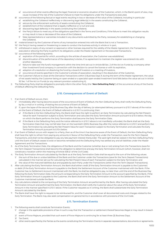- e/ occurrence of other events affecting the legal, financial or economic situation of the Customer, which, in the Bank's point of view, may cause increase of the risk of the Customer's failure to meet his obligations under the Transactions executed,
- 8/ occurrence of the following factual or legal events resulting in loss or decrease of the value of the Collateral, including in particular:
	- a/ establishing the Collateral ineffectively or discovering legal defect(s) in the assets constituting the Collateral,
	- b/ seizure by the enforcement authority of assets constituting the Collateral.
	- c/ establishment of the Collateral that is legally ineffective or is null and void,
	- d/ discovering legal defect(s) in the assets constituting the Collateral,
	- e/ the Party's failure to meet any of the obligations specified in the Terms and Conditions, if the failure to meet this obligation results or may result in loss or decrease of the value of the Collateral,
	- f/ false representations or warranties included in any documents submitted by the Party, necessary for establishing or changing the Collateral,
- 9/ material breach by the Customer of terms of any transaction entered into with the Bank that is not a Transaction,
- 10/ the Party's having ceased or threatening to cease to conduct the business activity in whole or in part,
- 11/ withdrawal or expiry of any consent or approval or other licenses required for the validity of the Master Agreement, the Transactions executed or allowing the Party to perform its obligations under the Master Agreement or the executed Transactions.
- 12/ occurrence of the following events: a/ expiration of the period for which, according to the articles of association, the Customer was established,
	- b/ discontinuation of the performance of the depositary's duties, if no agreement to maintain the register was entered into with another depositary,
	- c/ failure to take over the fund's management within the time limit set out in Article 68 Sec. 2 of the Act on Funds by a company other than investment fund company in connection with the decision to cancel the license or with its expiration,
	- d/ adoption of a resolution on dissolving the fund by a board of investors or a meeting of investors,
	- e/ occurrence of events specified in the Customer's articles of association, resulting in the dissolution of the Customer,
- 13/ the Customer's failure to close all the Derivative Transactions within 5 Business Days if, during the term of the Master Agreement, the value of net assets held by the Customer being an open-ended or a specialist open-ended investment fund falls below the value set out in Article 92 Sec. 1 of the Act on Funds (or any relevant provision substituting it).
- 2. The Defaulting Party shall be obligated to promptly inform the other Party (the "**Non-Defaulting Party**") of the occurrence of any of the Events of Default affecting the Defaulting Party.

#### **§ 10. Consequences of Event of Default**

- 1. If an Event of Default occurs, then:
	- 1/ immediately after having become aware of the occurrence of Event of Default, the Non-Defaulting Party shall notify the Defaulting Party. by fax, e-mail or in writing, of stating the occurrence of Event of Default,
	- 2/ if, upon the lapse of the second (2nd) Business Day after the day of delivery (or attempted delivery pursuant to § 10.1.1 above) of the notice on the Event of Default, the Event of Default referred to in § 10.1.1 is continuing, then:
		- a/ if the Bank is the Non-Defaulting Party, the Bank shall have the right to perform an Early Termination by calculating the Net Present Value for each Transaction subject to Early Termination and calculate the Early Termination Amount pursuant to § 10.4 below; the day on which the Bank performs the Early Termination shall become the Early Termination Date;
		- b/ if the Bank is the Defaulting Party and the notice referred to in § 10.1.1 above is not manifestly unfunded, the Bank shall set the Early Termination Date that may not fall later than on the twentieth (20th) Business Day after the notice referred to in § 10.1.1 and perform the Early Termination by calculating the Net Present Value for each Transaction subject to the Early Termination and calculate the Early Termination Amount pursuant to § 10.4 below.
- 2. If an Event of Default occurs with respect to a Party, then as of the time it has become aware of the Event of Default, the Non-Defaulting Party shall have the right to refrain from paying any amounts in favour of the Defaulting Party under the Transaction, save for the Term Deposit Transactions, and shall not be obligated to pay any late payment interest thereunder. The said right shall be vested in the Non-Defaulting Party until the Event of Default ceases to exist or becomes remedied and the Defaulting Party has settled any and all liabilities under the Master Agreement and the Transactions.
- 3. As of the Early Termination Date, the obligations of the Bank and the Customer (whether due or not) arising from the Transactions (save for the Term Deposit Transactions) shall become the obligation to determine and pay the Early Termination Amount (which, however, shall not constitute a novation within the meaning of Article 506 § 1 of the Civil Code).
- 4. The Early Termination Amount calculated by the Bank as at the Early Termination Date shall be equal to the sum of the following values: 1/ the sum of the due or undue liabilities of the Bank and the Customer under the Transactions (save for the Term Deposit Transactions) calculated in the manner set out for calculating the Net Present Value of each Transaction subject to the Early Termination; and
	- 2/ the value of the matured liabilities due and payable by each Party under the Transactions (other than the Term Deposit Transactions).
- 5. After calculating the Early Termination Amount, the Bank shall either credit (if the Early Termination Amount is payable to the Customer) or debit (if the Early Termination Amount is payable to the Bank) the Settlement Account of the Customer maintained with the Bank. If the Customer has no Settlement Account maintained with the Bank, he shall be obligated to pay, no later than until the end of the Business Day following the Early Termination Date, the amount corresponding to the Early Termination Amount to the account specified by the Bank. If the Early Termination Amount is payable to the Customer, the Bank shall remit the Early Termination Amount to the Settlement Account of the Customer maintained outside the Bank.
- 6. Any calculations related to the computing of the Early Termination Amount are performed by the Bank. After having calculated the Early Termination Amount and performed the Early Termination, the Bank shall notify the Customer about the value of the Early Termination Amount in the manner specified in § 10.1.1 above. If the Customer requests so in writing, the Bank shall substantiate the Early Termination Amount calculated by the Bank.
- 7. The Bank shall have the right to request to be reimbursed for, and the Customer shall cover all documented costs and charges related to the Early Termination. The Bank may also seek compensation on general terms in accordance with provisions of the Civil Code.

#### **§ 11. Termination Events**

- The following events shall constitute Termination Events:
	- 1/ change in the applicable provisions of law in such a way that the Transaction or settlement thereof becomes illegal or may result in breach of law;
	- 2/ event of Force Majeure, provided that such event of Force Majeure is continuing for at least three (3) Business Days;
	- 3/ Tax Event;
	- 4/ other events specified by the Parties as the events constituting the Termination Events in separate representations, documents or agreements.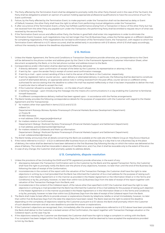- 2. The Party affected by the Termination Event shall be obligated to promptly notify the other Party thereof, and in the case of the Tax Event, the Party shall be obligated to present an opinion of a person holding appropriate professional qualifications to have the occurrence of such Tax Event confirmed.
- 3. Failure, by the Party affected by the Termination Event, to make payment under the Transaction shall not be deemed as delay or Event of Default; however, the other Party shall have the right to refrain from performing mutual obligations under the Transaction.
- 4. If, after occurrence of the Termination Event, a Party has fulfilled a performance arising from a Transaction in favour of the other Party but has not received from the other Party any payable sum under the Transaction, the performing Party shall be entitled to request return of what was received by the second Party.
- 5. If the Termination Event occurs and affects either Party, the Parties in good faith shall enter into negotiations in order to eliminate the Termination Event; however, such negotiations may not last longer than five (5) Business Days, unless the Parties agree on a different deadline for completing negotiations. If the negotiations do not lead to elimination of the Termination Event, the Transaction, with respect to which the Termination Event referred to in § 11.1 above occurred, shall be settled early in accordance with § 10 above, which § 10 shall apply accordingly, without the necessity to observe the deadlines stipulated therein.

#### **§ 12. Notices**

- 1. Unless the Master Agreement, the Terms and Conditions or Transaction Descriptions provide otherwise, any correspondence to the Client will be delivered to the phone number and address given by the Client in the Framework Agreement, Customer Information Sheet, other document accepted by the Bank, or to the last phone number and address known to the Bank.
- 2. Correspondence and/or information shall be deemed to be effectively delivered:
	- 1/ if directly delivered upon confirmation of receipt of the letter by the Customer, its representative or attorney in fact;
	- 2/ if sent by fax upon the sender Party's receipt of correct send confirmation message;
	- 3/ if sent by e-mail upon correct sending of the e-mail to the server of the Bank or the Customer, respectively;
	- 4/ if sent by registered mail or courier service upon delivery or attempted delivery; in particular, the following shall be deemed to constitute a proof of attempted delivery: an appropriate advice note in writing received from the post office, courier service or a different entity authorised for service stating that the deadline to collect the mail has expired ineffectively or that it has been impossible to deliver the mail, in particular due to refusal to accept the mail;
	- 5/ if the Customer refused to accept the delivery on the date of such refusal;
	- 6/ e-banking message upon introducing the message into the means of e-communications in a way enabling the Customer to familiarise himself therewith;
	- 7/ if a different correspondence delivery method has been agreed upon in accordance with the Parties arrangements.
- 3. The Bank hereby provides the following correspondence details for the purpose of cooperation with the Customer with regard to the Master Agreement and the Transaction(s):
	- 1/ for matters other than specified in items § 12.3.2 and § 12.3.3:
		- mBank S.A.

Departament Rozwoju Biznesu Rynków Finansowych (Financial Markets Business Development Department) ul. Prosta 18

- 00-850 Warszawa
- e-mail address: DSM\_negocjacje@mbank.pl
- 2/ for matters relation to Confirmations: Departament Obsługi i Rozliczeń Rynków Finansowych (Financial Markets Support and Settlement Department) e-mail address: potwierdzenia.klient@mbank.pl
- 3/ for matters related to Collaterals and Mark-up information: Departament Obsługi i Rozliczeń Rynków Finansowych (Financial Markets Support and Settlement Department) e-mail: collateral.klient@mbank.pl
- 4. The Bank hereby announces that all details concerning the Bank are available at the web site of the mBank Group at: http://www.mbank.pl.
- 5. If the notice referred to in § 12.2.1 § 12.2.4 is delivered after business hours on a Business Day or a day that is not a Business Day at the place of delivery, the notice shall be deemed to have been delivered on the first Business Day following the day on which the notice was delivered at the place of delivery. The notice shall be irrevocable in absence of manifest error, and, if so, then it shall be revocable only to the extent of the error.
- 6. In case of any change, the Customer shall promptly update its address details.

#### **§ 13. Complaints, dispute resolution**

- 1. Unless the provisions of law (including the EMIR and SFTR Legislation) provide otherwise, in the event of any:
	- 1/ discrepancy between the Transaction Confirmation sent to the Customer by the Bank and the agreed Transaction Terms, the Customer shall have the right to promptly notify the Bank over the phone of any objections, however, no later than until the end of the Business Day following the date of receipt of the Conformation;
	- 2/ inconsistencies in the content of the report with the valuation of the Transaction Package, the Customer shall have the right to raise objections in writing, by e-mail (provided that the Bank has informed the Customer of its e-mail address for the purpose of raising such objection in the Master Agreement or in the manner as provided in the Master Agreement or the Information Sheet or in the Terms and Conditions) or by fax, promptly, however, no later than within two (2) Business Days from the date of receipt of the report together with valuation of the Transaction Package from the Bank; and
	- 3/ inconsistencies in the content of the Collateral report, of the nature other than specified in § 20.7, the Customer shall have the right to raise objections in writing by e-mail (provided that the Bank has informed the Customer of its e-mail address for the purpose of raising such objection in the Master Agreement or in the manner as provided in the Master Agreement or in the Information Sheet or in the Terms and Conditions) or by fax, promptly, however no later than within two (2) Business Days from the date of receipt of the Collateral report from the Bank.
- 2. The Bank shall make its best efforts to provide answer or explanations thereto by telephone, telefax or email immediately, however, no later than within five (5) Business Days from the date the objections have been raised. The Bank reserves the right to extend the deadline depending on the complexity of objections raised by the Customer pursuant to § 13.1 above; the Bank shall promptly inform the Customer of such deadline extension and set a new deadline to provide the answer or explanations.
- 3. If the Customer's objections are recognised, then, immediately after the answer or explanations referred to in § 13.2 above have been provided, the Bank shall deliver to the Customer a revised version of the Confirmation, the report together with Transaction Package valuation or the Collateral report, as the case may be.
- 4. If the objections raised by the Customer are dismissed, the Customer shall have the right to lodge a complaint in writing with the Bank. If no complaint has been lodged within five (5) Business Days, the Customer shall be deemed to have accepted the explanations provided to him by the Bank.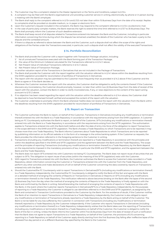- 5. The Customer may file a complaint related to the Master Agreement or the Terms and Conditions, subject to § 13.4.
- 6. A complaint may be filed with the Bank's organisational unit providing customer service in writing, electronically, by phone or in person during a meeting with the Bank's employee.
- 7. The Bank shall reply to the complaint referred to in § 13.4 and § 13.5 not later than within 15 Business Days from the date of its receipt. Replies to complaints shall be provided on durable medium, i.e. in paper or electronic form.
- 8. Upon the Customer's request included in the complaint, the Bank may respond to the complaint referred to in § 13.4 via electronic mail.
- 9. In the case of particularly complex matters, the Bank reserves the right to extend the time limit referred to in § 13.7 to 35 Business Days. The Bank shall promptly inform the Customer of such deadline extension.
- 10. The Bank shall keep record of all disputes related to Transactions entered into between the Bank and the Customer, including in particular information concerning the time during which the dispute has remained unsettled, the details of the Customer who has been a party to the dispute and the contested amount.
- 11. If there is a dispute as referred to above between the Bank and the Customer, such a dispute shall not affect the scope of the rights and obligations of the Parties under the Transactions executed, in particular, such a dispute shall not affect the validity of the executed Transactions.

#### **§ 14. Portfolio Reconciliation**

- 1. The Bank shall provide the Customer with a report together with Transaction Package valuation, including:
	- 1/ list of unmatured Transactions executed with the Bank forming part of the Transaction Package;
	- 2/ the value of the Minimum Collateral calculated for the Transactions referred to in § 14.1.1 above:
	- 3/ Net Present Value of individual Transactions referred to in § 14.1.1 above;
	- 4/ Net Present Value of Transaction Package,
	- or another valuation report of the Transactions in Derivatives that are not included in the Package of Transactions.
- 2. The Bank shall provide the Customer with the report together with the valuation referred to in § 14.1 above within the deadlines resulting from the EMIR Legislation provided for reconciliation of portfolios of Transactions in Derivatives.
- 3. The report with the valuation may be submitted to the Customer more frequently than as provided in § 14.2 above if the Customer and the Bank so agree or if the Bank decides so.
- 4. Whenever the Customer receives the report with the valuation, the Customer shall be obligated to verify the contents thereof. If the Customer discovers any inconsistency, the Customer should promptly, however, no later than within two (2) Business Days from the date of receipt of the report with the valuation, contact the Bank in order to clarify inconsistencies, if any, or raise objections to the content of the report acting pursuant to § 13.1.2 above.
- 5. If no objection has been raised regarding the report with the valuation within the deadline referred to in § 14.4 above, the Customer shall be deemed to have familiarised himself, verified and accepted the content of the report with the valuation.
- The Customer undertakes to promptly inform the Bank whenever he/she does not receive the report with the valuation from the Bank within the deadlines resulting from the EMIR Legislation provided for reconciliation of portfolios of Transactions in Derivatives.

#### **§ 15. Report on Transaction**

- 1. The Customer authorises the Bank to report, on behalf of the Customer, Transactions in Derivatives (including any modifications or termination thereof) entered into with the Bank to a Trade Repository in accordance with the requirements arising from the EMIR Legislation. A Customer being an FC Counterparty authorises the Bank to report, on behalf of the Customer, SFTs (including any modifications or termination thereof) entered into with the Bank to a Trade Repository in accordance with the requirements arising from the SFTR Legislation. The authorisation applies to Transactions entered into with the Bank both before and after the date of entry into force of the obligation to report Transactions in the scope defined in the EMIR and SFTR Legislation. The Bank chooses a Trade Repository to which Transactions are to be reported; it may choose more than one Trade Repository. The Bank informs Customers about Trade Repositories to which Transactions are to be reported by publishing information on its official website or in the form of a message in the online banking system. If the Customer so requests, the Bank provides the information referred to in the foregoing sentence to the Customer in writing.
- 2. Transactions (including any modifications or termination thereof) are reported to a Trade Repository in accordance with the principles and within the deadlines specified in the EMIR and SFTR Legislation and the agreement between the Bank and the Trade Repository. The scope and the principles of reporting Transactions (including any modifications or termination thereof) to a Trade Repository by the Bank depend on the requirements imposed in the mandatory provisions of law, in particular the EMIR and SFTR Legislation, and the agreement between the Bank and the Trade Repository.
- 21 . The Bank does not report SFTs entered into with Customers not being FC Counterparties. The Bank does not report reuse of securities that are subject to SFTs. The obligation to report reuse of securities (within the meaning of the SFTR Legislation) rests with the Customer.
- 3. With regard to Transactions entered into with the Bank, the Customer authorises the Bank to access the Customer's data recorded in a Trade Repository, obtain information concerning the Customer or Transactions entered into with the Customer from the Trade Repository, and perform any other activities and make declarations of will on behalf of the Customer concerning the data covered by reports on Transactions entered into with the Bank.
- 4. Should the Customer/the FC Counterparty wish to report Transactions in Derivatives/SFTs (including any modifications or termination thereof) to a Trade Repository independently, the Customer/the FC Counterparty is obliged to notify the Bank of this fact and agree with the Bank on a detailed method of arranging the contents of Reports on Transactions in Derivatives or Reports on SFTs (including any modifications or termination thereof) to the Trade Repository. The notification referred to above becomes binding on the Bank after the lapse of the second (2) Business Day from the day when the method of arranging the contents of Reports to the Trade Repository is finally agreed on with the Bank and confirmed by the Bank in writing. Notwithstanding the method of arranging the contents of reports to Trade Repositories with the Bank, in the event where the Customer reports Transactions in Derivatives/SFTs to a Trade Repository independently, for the purposes of reporting to a Trade Repository the Customer is obliged to use identifiers referred to in the EMIR and SFTR Legislation, as assigned by the Bank and contained in Transaction Confirmations provided to the Customer by the Bank. For the avoidance of doubt, if the Customer notifies the Bank of an intention to report Transactions in Derivatives to a Trade Repository independently, the Customer is also obliged to report any modifications or termination of Transactions already reported to a Trade Repository by the Bank acting on behalf of the Customer. The Bank is not be liable for any loss suffered by the Customer in connection with Transactions (including any modifications or termination thereof) reported to a Trade Repository by the Customer independently. If the Customer who reports Transactions in Derivatives (including any modifications or termination thereof) to a Trade Repository independently wishes that the Bank takes over the reporting of Transactions (including any modifications or termination thereof) to a Trade Repository on behalf of the Customer, the Customer is obliged to notify the Bank of this fact in writing. Unless the Bank informs the Customer within five (5) Business Days from the date of receipt of such a notification that the Bank does not agree to report Transactions to a Trade Repository on behalf of the Customer, the provisions of § 15 concerning reporting to a Trade Repository on behalf of the Customer apply directly starting from the first Business Day falling after ineffective lapse of the aforesaid five-day period or on a different Business Day specified by the Bank to the Customer.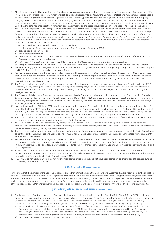- 5. All data concerning the Customer that the Bank has in its possession required for the Bank to duly report Transactions in Derivatives and SFTs (including any modifications or termination thereof) to a Trade Repository (in particular the Customer's telephone number and address details, business name, registered office and the legal status of the Customer, particulars required to assign the Customer to the FC Counterparty category and information related to the Customer's LEI (Legal Entity Identifier) or BIC (Business Identifier Code)) are deemed by the Bank to be up to date and are used by the Bank to report Transactions in Derivatives and SFTs to a Trade Repository unless the Customer notifies the Bank that the data has changed; the notification becomes effective on the second Business Day after the date of its receipt by the Bank.
- 6. The Bank may request the Customer (in writing or by email as the Bank sees fit) to promptly (however, not later than within one (1) Business Day from the date the Customer receives the Bank's request) confirm whether the data referred to in § 15.5 above are up-to-date and promptly (however, not later than within one (1) Business Day from the date the Customer receives the Bank's request) provide additional information, make representations or perform any other activity that is necessary for the Bank to report Transactions to a Trade Repository on behalf of the Customer, regardless of whether such additional information, representations or activity is required by virtue of law or under the agreement between the Bank and the Trade Repository.
- 7. If the Customer does not take the following actions immediately:
	- 1/ confirm that the Customer's data is up-to-date at the Bank's request referred to in § 15.6, or
	- 2/ provide additional information, or
	- 3/ make representations, or
	- 4/ take other actions necessary to report Transactions in Derivatives or SFTs to a Trade Repository at the Bank's request referred to in § 15.6, the Bank may choose to do the following:
	- 5/ not to report Transactions in Derivatives or SFTs on behalf of the Customer, and inform the Customer thereof, or
	- 6/ to report Transactions in Derivatives or SFTs to its best knowledge of the Customer and the Transactions concluded with the Customer.
- 8. Notwithstanding § 15.5 and § 15.6, the Customer undertakes to immediately notify the Bank in writing of any changes to data referred to in § 15.5 and § 15.6 without being requested to do so by the Bank.
- For the purposes of reporting Transactions (including any modifications or termination thereof) to a Trade Repository, the Customer accepts that, unless otherwise agreed between the Parties, when reporting Transactions (or modifications thereof) to the Trade Repository on behalf of the Customer, the Bank reports data relating to valuations and Collateral, calculated or determined by the Bank in accordance with the methodology adopted by the Bank.
- 10. The Bank is not liable to the Customer for the consequences of the Customer's non-performance of any obligation referred to in § 15.4 § 15.9 (especially for any consequences related to the Bank reporting incomplete, delayed or incorrect Transactions (including any modifications or termination thereof) to a Trade Repository or not reporting them at all), unless such responsibility results from deliberate fault or gross negligence of the Bank.
- 11. The Customer is liable to the Bank for any damage sustained by the Bank (especially any penalties imposed on the Bank) resulting from the Customer's non-performance of any of its obligations referred to in § 15.4 – § 15.9. In particular, at the Bank's request, the Customer immediately covers any damage and reimburses the Bank for any costs incurred by the Bank in connection with the Customer's non-performance of any such obligation or obligations.
- 12. In accordance with the EMIR and SFTR Legislation, the obligation to report Transactions (including any modifications or termination thereof) under the EMIR and SFTR Legislation is imposed on each Transaction Party, i.e. separately on the Bank and the Customer. Despite the fact that, subject to § 15.4, the Bank reports Transactions (including any modifications or termination thereof) on behalf of the Customer, any penalties resulting from non-compliance with the EMIR and SFTR Legislation in the above scope may be imposed directly on the Customer.
- 13. The Bank is not liable to the Customer for non-performance or defective performance by a Trade Repository of any obligations resulting from the law and the agreement between the Bank and the Trade Repository.
- 14. The Bank is not liable to the Customer for any damage sustained by the Customer due to inability to report a Transaction (including any modifications or termination thereof) to a Trade Repository due to technical reasons, force majeure or other reasons, unless such liability results from deliberate fault or gross negligence of the Bank.
- 15. The Bank reserves the right to charge fees for reporting Transactions (including any modifications or termination thereof) to Trade Repositories as per the Tariff of Banking Fees and Commissions of mBank for SME and Corporates. The Bank introduces or changes fees with a one-month prior notice to Customers.
- 16. Pursuant to the EMIR and SFTR Legislation, the Customer authorises the Bank to report Transactions in Derivatives and SFTs concluded with the Bank on behalf of the Customer (including any modifications or termination thereto) to ESMA (in line with the principles set out in § 15.1 – § 15.15) in case the Trade Repository is unavailable, in order to register Transactions in Derivatives and SFTs in accordance with the EMIR and SFTR Legislation.
- 17. Subject to § 15.4, the Customer undertakes to the Bank that, unless agreed otherwise between the Bank and the Customer, it will not independently report any Transactions in Derivatives or SFTs (including any modifications or termination thereof) covered by the authorisations referred to in § 15.1 and § 15.16 to Trade Repositories or ESMA.
- 18. § 15.1 §15.17 do not apply to Customers having their registered office (or, if they do not have a registered office, their place of business) outside the territory of the European Union.

#### **§ 16. Portfolio Compression**

In the event that the number of the applicable Transactions in Derivatives between the Bank and the Customer that are not subject to the obligation of central settlement pursuant to the EMIR Legislation, exceeds 500, or, if, as a result of other circumstances, it might become likely that the number achieves or exceeds 500 in the nearest future (i.e. no later than within the following consecutive 45 calendar days), then the Bank and the Customer shall enter into negotiations in order to agree on specific procedures concerning regular verification (at least twice a year) whether a portfolio of those Transactions in Derivatives (including the Transaction Package) may be compressed in order to limit the credit risk of the counterparty.

#### **§ 17. MiFID, MiFIR, EMIR and SFTR Assumptions**

- 1. For the purposes of performance by the Bank and the Customer of their obligations resulting from EMIR, MiFID, MIFIR and SFTR and, for the Bank, for the purposes of performance of the agreement between the Bank and a Trade Repository, the Bank is entitled to assume the following, unless the Customer has notified the Bank otherwise, bearing in mind that the notification concerning the information referred to in § 17.1.3 should be made when concluding a Transaction, while the notification concerning the information referred to in § 17.3.1, § 17.3.2 and § 17.3.4 should be provided to the Bank in writing, and that such a notification is effective from the next Business Day after it is provided to the Bank:
	- 1/ Customer has a customer status within the meaning of the EMIR Legislation consistent with the status provided to the Bank when concluding the Framework Agreement or consistent with the status provided to the Bank in accordance with the provisions of § 17.2, whereas if the Customer does not provide the status to the Bank, the Bank assumes that the Customer is an FC Counterparty,
	- 2/ Customer concludes a Transaction on own behalf and for own account,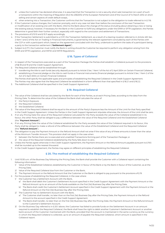- 3/ unless the Customer has declared otherwise, it is assumed that the Transaction is not a security short sale transaction (or a part of such a transaction) within the meaning of Regulation (EU) No 236/2012 of the European Parliament and of the Council of 14 March 2012 on short selling and certain aspects of credit default swaps,
- 4/ when entering into a Transaction, the Customer confirms that the Transaction is not subject to the obligation to trade referred to in § 1.16. 2. If the Customer's status changes, the Customer promptly, and in any case not later than before the conclusion of the next Transaction
- or modification of an existing one with the Bank, informs the Bank about the change of the status (including about obtaining a new or losing the existing status); however, if necessary for the Bank or the Customer to fulfill any obligations under the EMIR or SFTR Legislation, the Parties determine in good faith their further conduct, especially with regard to the conclusion and settlement of Transactions.
- 3. The provisions of § 15.10 and § 15.11 apply accordingly.
- 4. If the Transaction Settlement is submitted to a CCP, the Transaction Settlement, as a result of a clearing novation referred to in Article 45h Sec. 2 Item 1 and 2 of the Act on Trading in Financial Instruments, is governed by the relevant agreement concluded by each of the Parties with the CCP or with a participant which, based on the agreement concluded with the Party, undertook to perform the tasks of a participant being a party to the transaction settlement ("**Settlement Agent**").
- Subject to § 17.1, the Customer must notify the Bank in writing should the Customer be required to perform any obligation arising from the EMIR and SFTR Legislation, and MiFID and MiFIR Regulations.

#### **§ 18. Types of Collateral**

- 1. In respect of the Transactions executed as a part of the Transaction Package the Parties shall establish a Collateral pursuant to the provisions of §§ 18 and 19 and the Credit Support Agreement.
- 2. The Required Collateral shall be established through:
	- 1/ transferring the title to cash funds (security deposit) pursuant to Article 5 Sec. 1 Item 1 of the Act of 2 April 2004 on Certain Financial Collateral; 2/ establishing a financial pledge on the title to cash funds or financial instruments (financial pledge) pursuant to Article 5 Sec. 1 Item 2 of the Act of 2 April 2004 on Certain Financial Collateral.

 The Parties shall specify the applicable types and principles of establishing the Required Collateral in the Credit Support Agreement. The Parties may also agree that the Required Collateral be established in a form different than that specified in § 18.2.1 and § 18.2.2.

3. The Additional Collateral shall be specified in the Credit Support Agreement.

#### **§ 19. Required Collateral**

- 1. The value of the Collateral shall be calculated by the Bank for each of the Parties, as at each Pricing Date, according to the data from the Pricing Date. To determine the value of the Collateral the Bank shall calculate the value of:
	- 1/ the Party's Exposure;
	- 2/ the Required Collateral;
	- 3/ the Established Collateral.
- 2. The value of the Required Collateral shall be equal to the amount of the Party's Exposure less the Amount of the Limit for that Party specified in the Credit Support Agreement. Unless the Parties in the Credit Support Agreement stipulate otherwise, the Amount of the Limit shall be zero.
- 3. If on any Pricing Date the value of the Required Collateral calculated for the Party exceeds the value of the Collateral established in its favour, the other Party shall be obliged to pay a difference between the value of the Required Collateral and the Established Collateral (the "**Payment Amount**").
- 4. If on any Pricing Date the value of the Collateral established for the Party exceeds the value of the Collateral required in its favour, this Party shall be obliged to make a refund of the difference between the value of the Established Collateral and the Required Collateral (the "**Refund Amount**").
- 5. The obligation to pay the Payment Amount or the Refund Amount shall not arise if the value of any of these amounts is lower than the value of the Minimum Transfer Amount. This provision shall not apply in the case when:
	- 1/ between the Parties there are no executed and unsettled Transactions forming part of the Transaction Package; or
	- 2/ the value of the Required Collateral established by the Party falls down to zero.
- 6. Unless the Parties agree otherwise in the Credit Support Agreement, the Payment Amount or the Refund Amount payable pursuant to § 19.5 shall be rounded up to the nearest thousand.
- 7. In the Credit Support Agreement, the Parties may agree on different principles of establishing the Required Collateral.

#### **§ 20. The method of establishing the Required Collateral**

- 1. Until 10:30 a.m. of the Business Day following the Pricing Date, the Bank shall provide the Customer with a Collateral report containing the following information:
	- 1/ Value of the Established Collateral, established by the Customer in favour of the Bank or by the Bank in favour of the Customer, as at the Pricing Date;
		- 2/ Value of the Required Collateral due from the Customer or the Bank;
	- 3/ The Payment Amount or the Refund Amount that the Customer or the Bank is obliged to pay pursuant to the provisions of § 19.
- 2. For the purpose of establishing the Required Collateral, in the case where:
	- 1/ the Customer has a Settlement Account with the Bank,
		- a/ the Bank shall debit the Customer's Settlement Account specified in the Credit Support Agreement with the Payment Amount or the Refund Amount up to an amount of the funds available on the first (1st) Business Day after the Pricing Date,
		- b/ The Bank shall credit the Customer's Settlement Account specified in the Credit Support Agreement with the Payment Amount or the Refund Amount on the first (1st) Business Day after the Pricing Date.
	- 2/ The Customer has no Settlement Account with the Bank,
		- a/ The Customer shall transfer, no later than on the first (1st) Business Day after the Pricing Date, the Payment Amount or the Refund Amount to the account specified in the Credit Support Agreement.
		- b/ The Bank shall transfer, no later than on the first (1st) Business Day after the Pricing Date, the Payment Amount or the Refund Amount to the Customer's Settlement Account.
	- 3/ On the Business Day referred to in § 20.1 above, the Customer has failed to provide funds on the Settlement Account in an amount required to establish the Required Collateral, the Bank shall have the right to debit another Customer's Settlement Account or another bank account of the Customer maintained with the Bank, provided that the account is maintained in the same currency as the currency in which the Required Collateral is collected, up to an amount of payable the Required Collateral, which amount is specified in the Collateral report.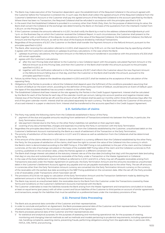- 3. The Bank may make execution of the Transaction dependent upon the establishment of the Required Collateral in the amount agreed with the Customer before the Transaction is entered into. In such case, the Bank shall collect the agreed amount of the Required Collateral from the Customer's Settlement Account or the Customer shall pay the agreed amount of the Required Collateral to the account specified by the Bank. Where there has been no Transaction, the Required Collateral shall be refunded in accordance with the principles specified in § 19.
- 4. In the event that the Established Collateral is provided in a currency other than Polish Zloty, then, for the purpose of determining its value, the Bank shall convert the Collateral at the exchange rate determined by the Bank on the basis of the quotations from the interbank market from 4.30 p.m. on the Pricing Date.
- 5. If the Customer contests the amounts referred to in § 20.1, he shall notify the Bank by e-mail to the address collateral.klient@mbank.pl until 1 p.m. on the Business Day on which the Customer received the Collateral Report. In such circumstances, the Customer shall present to the Bank, together with a notification of the dispute, its calculations of the value of the Required Collateral, the Established Collateral, the Refund Amount and the Payment Amount, as well as the value of the Exposure divided by individual Transactions.
- 6. Regardless of the provisions of § 20.7, the Customer or the Bank shall transfer the Payment Amount or the Refund Amount, pursuant to the principles specified in § 20.2
- The Bank, after receiving the calculation referred to in § 20.5, shall respond to it by 10:30 a.m. on the next Business Day by specifying whether it agrees with the Customer's calculations or upkeeps its primary calculations. In the case where the Bank:
	- 1/ upkeeps its primary calculations, the Payment Amount or the Refund Amount transferred in accordance with the provisions of § 20.6 shall still remain applicable;
	- 2/ agrees with the Customer's calculations:
		- a/ after the next Pricing Date shall deliver to the Customer a new Collateral report with the properly calculated Payment Amount or the Refund Amount as at this Pricing Date, and then the Customer or the Bank shall transfer this amount pursuant to the principles specified in § 20.2, or
		- b/ together with the notification referred to in the first sentence of § 20.7, shall inform the Customer about the new Payment Amount or the Refund Amount falling due on that day, and then the Customer or the Bank shall transfer this amount, pursuant to the principles specified in § 20.2.
- 8. Failure, by either Party, to observe the deadlines stipulated in § 20.5 and § 20.7, shall be treated as the acceptance of the calculation of the opposing Party.
- 9. Obligations of the Parties to provide or refund the Collateral shall depend upon the fulfilment of the conditions precedent assuming that no Event of Default (or the event which, according to the definition of the particular Event of Default, would become an Event of Default upon the lapse of the stipulated deadline) has occurred in relation to the other Party.
- 10. The Established Collateral shall bear interest at the rate agreed by the Parties in the Credit Support Agreement. Interest shall be calculated by the Bank for each of the Parties for each day of the calendar month per annum, taking into account positive and negative interest rates. Interest due of the Parties shall be set off, and the amount of set off interest shall be paid out monthly within three (3) Business Days after the end of the given calendar month. Interest shall be calculated separately for each currency. The Bank shall notify the Customer of the amount of accrued interest in a paper or electronic form. Interest shall be transferred to the accounts specified in the Credit Support Agreement.

#### **§ 21. Satisfaction of claims**

- 1. The Party may satisfy the following claims from the Collaterals established in favour of the Party:
	- 1/ payment of the due and payable amounts resulting from settlement of Transactions entered into between the Parties, in particular, the Early Termination Amount;
	- 2/ late payment interest due to the Party on the other Party's liabilities not satisfied on their payment date;
- 3/ covering of any documented fees, charges and expenses incurred by the Party in connection with the Early Termination.
- 2. Regardless the principles described in § 21.1, the Bank may cover, from the Collaterals established by the Customer, unauthorised debit on the Customer's Settlement Account maintained by the Bank as a result of settlement of the Transaction or the Early Termination;
- 3. The priority of satisfaction of the claims referred to in § 21.1 and 21.2 above as well as satisfaction from the Collaterals shall be determined by the Party.
- 4. If the amount of the claims referred to in § 21.1 above is denominated in a currency different than the Collateral established by the other Party, the Party, for the purpose of satisfaction of the claims, shall have the right to convert the value of the Collateral into the currency in which the Bank's claim is denominated according to the NBP Fixing or, if the NBP Fixing is not published, to the pair of the claim and the Collateral currencies, at the rate of exchange calculated on the basis of the available NBP Fixing rates of the claim and the Collateral currencies to PLN currency, published on the conversion date, unless the Parties agreed on a different conversion rate.
- 5. The Bank shall charge interest calculated at the statutory interest rate as of the due date (including that day) until the payment date (excluding that day) on any due and outstanding amounts receivable of the Party under a Transaction or the Master Agreement or Collateral.
- 6. In the case of the Early Settlement or Event of Default as referred to in § 9.1.1 and § 9.1.2, a Party may set off payable receivables arising from Transactions executed under the Master Agreement (in particular, the Early Termination Amount and the amounts recorded as unauthorised debit in the Customer's Settlement Account) against any payable and not yet payable receivables due to the other Party. The set off amounts in currencies other than the Early Termination Amount currency are converted into the Early Termination Amount currency or the currency of the receivable with the earliest due date according to the NBP Fixing published on the conversion date. After the set-off, the Party provides a list of receivables under Transactions which have been set off.
- 7. The provisions of § 21.6 do not apply to: calculation of the Early Termination Amount and the Transaction Settlement made by debiting the settlement amount or the Early Termination Amount to the Settlement Account.
- 8. The Bank may record, as unauthorised debit, the receivables due to the Bank from the Customer under the Transactions covered by these Terms and Conditions on the Customer's Settlement Accounts maintained with the Bank.
- 9. The Customer undertakes to treat the liabilities towards the Bank arising from the Master Agreement and transactions concluded on its basis at least on equal terms (pari passu) with all other current and future liabilities of the Customer to third parties on account of similar agreements and transactions, except for the liabilities that must be satisfied on a preferential basis under the mandatory provisions of law.

#### **§ 22. Personal Data Processing**

- 1. The Bank acts as personal data controller of the Customer and their representatives.
- 2. In order to conclude and perform an Agreement, the Bank processes personal data of the Customer and their representatives. The provision of personal data is necessary for the conclusion and performance of the Agreement.
- 3. The Bank processes personal data of the Customer and their representatives also:
	- 1/ for statistical and analytical purposes, for the purposes of assessing and monitoring operational risk, for the purposes of creating, monitoring and changing internal methods as well as methods and models pertaining to prudential requirements, including operational risk, handling complaints, asserting claims, preventing frauds, performing obligations arising from the applicable law, in particular AML, FATCA, CRS, MiFID, and archiving,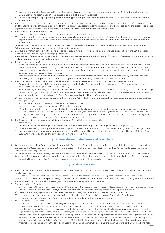- 2/ in order to provide the Customer with marketing materials concerning own services and products of the Bank and subsidiaries of the Bank's Group. The list of mBank Group subsidiaries is available at www.mbank.pl.
- 3/ for the purposes profiling supporting direct marketing promoting the services and products of the Bank and of the subsidiaries of the Bank's Group.
- 4. The Bank processes personal data of the Customer and their representatives for the period necessary to conclude and perform an Agreement. and then for the period of ten years calculated from the date of the Agreement termination or for another period being the prescription period of possible claims. After the lapse of the above time limits, the Bank shall anonymise the personal data.
- 5. The Customer and their representatives:
	- 1/ have the right to access and correct their data, as well as to transfer them; and
	- 2/ may demand that the data be erased or their processing be restricted, or may object to their processing; the Customer may, in particular, object to profiling for the purposes of direct marketing promoting the services and products of the Bank and of the subsidiaries of the Bank's Group.
- 6. An employee of the Bank holds the function of the Inspector General for the Protection of Personal Data. S/he may be contacted at the following e-mail address: Inspektordanychosobowych@mbank.pl.
- 7. Detailed information concerning the principles and procedure for processing personal data by the Bank is specified in the GDPR package available at: www.mbank.pl/pdf/rodo/gdpr-package.pdf.
- 8. The President of the Personal Data Protection Office acts as the supervisory authority in terms of protection of personal data and the Customer and their representatives have to right to lodge a complaint to him/her.
- 9. The Bank announces that:
	- 1/ execution of foreign transfers via SWIFT (Society for Worldwide Interbank Financial Telecommunications) may result in the government of the United States of America having access to the personal data of the Customer and their representatives. The American authorities have undertaken to use the personal data only for the purpose of counteracting terrorism, respecting the guarantees provided for in the European system of personal data protection,
	- 2/ data, including personal data, of the Customer and their representatives may be disclosed to entities entrusted by the Bank with data processing for the purpose of the performance of agreements on rendering services for the benefit of the Bank.
- 10. The Bank has the right to provide data on liabilities arising from the Agreement, including the Customer's personal data, to:
	- 1/ Banking Register System ("BR") a database managed by the Polish Bank Association with its registered office in Warsaw, operating pursuant to the Banking Law Act of 29 August 1997,
	- 2/ Biuro Informacji Kredytowej S.A. (Credit Information Bureau, "BIK") with its registered office in Warsaw, operating pursuant to the Banking Law Act of 29 August 1997, in particular for the purposes of measurement models; detailed information is available in the data processing statement published on the website of mBank Group (www.mbank.pl/klazulainformacyjna),
	- 3/ business information bureaus operating on the basis of the Act on the Provision of Business Information and Exchange of Business Data of 9 April 2010, if:
		- a/ the overall amount of liabilities to the Bank is at least PLN 500,
		- b/ the payment or payments are at least 30 days due and payable,
		- c/ at least one month has passed since the Bank transmitting the data and being the creditor sent a request for payment, warning the Customer of its intention to transmit the data to a bureau, including the bureau's registered business name and address of its registered office, by registered mail to the correspondence address specified by the Customer, and if the Customer has not specified such an address, to the address of the Customer's registered office.
- 11. The Customer's data, including personal data, collected in BR and BIK may be disclosed to:
	- 1/ other banks,
	- 2/ financial institutions operating as subsidiaries of banks within the meaning of the Banking Law Act of 29 August 1997,
	- 3/ other entities having statutory authorisations subject to the terms and conditions laid down in the Banking Law Act of 29 August 1997, 4/ business information bureaus operating under the Act on Disclosure of Business Information and Exchange of Business Data of 9 April
	- 2010, within the scope and on the terms specified in the aforesaid Act.

#### **§ 23. Amendment to the Terms and Conditions**

- 1. Any amendments to these Terms and Conditions and the Transaction Descriptions made during the term of the Master Agreement shall be provided to the Customer along with indication of the dates on which they become effective. Amendments shall be delivered in accordance with the provisions of § 12 above.
- 2. Within 14 days of the date of delivery of the amendments, the Customer shall have the right to submit a notice of termination of the Master Agreement. The Customer's failure to submit a notice of termination of the Master Agreement within the time limit specified in the foregoing sentence shall be deemed as the Customer's acceptance of the amendments delivered by the Bank.

#### **§ 24. Final Provisions**

- 1. The Bank shall not accept or withhold any tax on the Transaction due from the Customer unless it is obligated to do so under the mandatory provisions of law.
- 2. Unless otherwise provided in these Terms and Conditions, the Master Agreement, the Credit Support Agreement or the Transaction Confirmation, all calculations are performed by the Bank, and all conversions of the amounts denominated in one currency to another currency are performed in accordance with the Foreign Exchange Rates Table applicable at that time.
- 3. For the avoidance of doubt:
	- 1/ any reference, in the content of these Terms and Conditions, to time (save for the Transaction Descriptions which refer to the Warsaw Time, Central European Time and other times) shall be understood as the standard time applicable in the Republic of Poland;
	- 2/ reference to a paragraph or section shall mean the relevant paragraph or section of these Terms and Conditions;
	- 3/ capitalised terms shall have the meanings ascribed to them in these Terms and Conditions or Transaction Descriptions;
	- 4/ all subdivisions in these Terms and Conditions have been adopted are for the purpose of order only.
- 4. The Bank hereby informs that:
	- 1/ The Bank is a participant in the statutory fund guarantee system as provided in the Act on the Bank Guarantee Fund, Deposit Guarantee Scheme and Resolution (as amended) dated 10 June 2016. Protection under the Bank Guarantee Fund ("**BGF**") is provided for deposits (whether in PLN or in other currencies) established by the following depositors: natural persons, legal persons, organisational units without legal personality, provided that they have legal capacity, school savings unions and employee savings-and-loan associations that are parties to personal bank account agreements or who have claims against the Bank under a banking transaction (as confirmed with registered documents issued by the Bank or registered deposit certificates as referred to in Article 9 Sec. 1 of Trading in Financial Instruments Act dated 29 July 2005) and individuals referred to in Article 55 Sec. 1 and Article 56 Sec. 1 of the Banking Act, provided that its claim against the Bank has become mature before the date on which the condition under the guarantee became fulfilled (within the meaning of the Bank Guarantee Fund Act);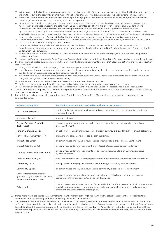- 2/ in the event that the Bank maintains one account for more than one entity (joint account), each of the entities shall be the depositor within the limits set out in the account agreement, or, in the absence of contractual provisions or applicable regulations – in equal parts;
- 3/ in the event that the Bank maintains an account for a partnership, general partnership, professional partnership, limited partnership or limited joint-stock partnership, such entity shall be the depositor;
- 4/ quaranteed funds shall be covered with the mandatory quarantee system as of the date they have been paid into the bank account no later than on the date preceding the date when the BGF guarantee condition fulfils, or – with regard to claims under banking transactions – provided that the transaction has been performed before the date when the BGF guarantee condition fulfils – up to an amount (including interest accrued until the date when the guarantee condition fulfils in accordance with the interest rate specified in the agreement notwithstanding their maturity date) the PLN equivalent of EUR 100,000.00 – in 100%.The depositor shall always have the right to assert claim(s) against the bank in the portion exceeding the amount of the guaranteed cash performance;
- 5/ A value denominated in EUR shall be converted to PLN in accordance with the average rate announced by the National Bank of Poland as at the date of fulfilment of the guarantee condition;
- 6/ the amount of the PLN equivalent of EUR 100,000.00 shall be the maximum amount of the depositor's claims against BGF, notwithstanding the amount and the number of accounts on which the depositor has had the funds or the number of sums receivable under which the claims arise;
- 7/ claims under the guarantee extended by BGF shall be barred by the statutes of limitation of five (5) years from the date the guarantee condition is fulfilled;
- 8/ a more specific information on the Bank Guarantee Fund can be found at the website of the mBank Group www.mbank.pl/download/bfg-info/.
- 5. The Customer is obligated to regularly provide the Bank with the following documents by mail that allow verification of the financial situation of the Customer:
	- 1/ a copy of the F-01 GUS report promptly, as soon as it is prepared by the Customer;
	- 2/ copy of annual financial statements promptly as soon as they are prepared and again after they have been audited by the statutory auditor, if such an audit is required under applicable regulations;
	- 3/ statement on the amount of the limits granted and the existing and planned indebtedness with other banks and financial institutions along with repayment dates – on the quarterly basis;
	- 4/ statement of the amount of the off-balance sheet commitments on the quarterly basis;
	- 5/ projected balance sheet, profit and loss account and cash flow statement promptly, as soon as they are prepared;
- 6/ information on the derivative transactions entered into with other banks and their valuation at least once in a calendar quarter.
- 6. Whenever the Bank so requests, the Customer is obligated to provide explanations and present documents concerning his financial standing other than those referred to in § 24.5 above.
- 7. The definitions and terms specified in the Terms and Conditions and Descriptions of Transactions correspond to the statutory terms as presented below.

| mBank's terminology                                                                                  | <b>Terminology used in the Act on Trading in Financial Instruments</b>                                                                                                                                                                                        |  |
|------------------------------------------------------------------------------------------------------|---------------------------------------------------------------------------------------------------------------------------------------------------------------------------------------------------------------------------------------------------------------|--|
| Dual-Currency Deposit                                                                                | another derivative instrument whose underlying instrument is a currency, exercised by delivery<br>or cash settlement                                                                                                                                          |  |
| <b>Investment Deposit</b>                                                                            | structured deposit                                                                                                                                                                                                                                            |  |
| Foreign Exchange Forward<br>(FX Forward)                                                             | a forward contract whose underlying instrument is a foreign currency, exercised by delivery<br>or cash settlement                                                                                                                                             |  |
| Foreign Exchange Option                                                                              | an option whose underlying instrument is a foreign currency, exercised by delivery or cash settlement                                                                                                                                                         |  |
| Forward Rate Agreement (FRA)                                                                         | a forward rate agreement exercised by cash settlement                                                                                                                                                                                                         |  |
| Interest Rate Option                                                                                 | an option whose underlying instrument is an interest rate, exercised by cash settlement                                                                                                                                                                       |  |
| Interest Rate Swap (IRS)                                                                             | a swap whose underlying instrument is an interest rate, exercised by cash settlement                                                                                                                                                                          |  |
| Currency Interest Rate Swap (CIRS)                                                                   | a swap whose underlying instruments are an interest rate and a foreign currency, exercised<br>by cash settlement                                                                                                                                              |  |
| Forward Transaction (FT)                                                                             | a forward contract whose underlying instrument is a commodity, exercised by cash settlement                                                                                                                                                                   |  |
| Commodity Swap                                                                                       | a swap whose underlying instrument is a commodity, exercised by cash settlement                                                                                                                                                                               |  |
| Commodity Option                                                                                     | an option whose underlying instrument is a commodity, exercised by cash settlement                                                                                                                                                                            |  |
| Forward transactions of sale of<br>greenhouse gas emission allowances<br>with cash settlement option | a forward contract whose object are emission allowances which may be exercised by cash<br>settlement in the manner selected by one of the parties                                                                                                             |  |
| Debt securities                                                                                      | bonds, covered bonds, investment certificates and other transferable securities, including securities<br>which incorporate property rights equivalent to the rights attached to debt, issued on the basis<br>of relevant provisions of Polish or foreign law. |  |

8. Transactions which are settled in cash ("net" settlement, "without delivery") by exchanging the settlement amount are not contracts for difference within the meaning of the Act on Trading in Financial Instruments.

9. If an index or a benchmark used to determine the liabilities of the parties (hereinafter referred to as the "Benchmark") used in a Transaction or Collateral: is not published or is discontinued, cannot be applied or is changed, the Bank will proceed in line with the Rules of Conduct in the Case of Significant Change, Withdrawal or Discontinuation of a Benchmark laid down in Appendix No. 1 to the Terms and Conditions. These provisions are applied to all Transactions and Collateral, including Transactions and Collaterals concluded before entry into force of the Terms and Conditions.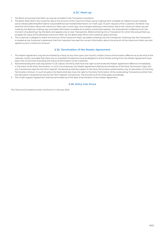#### **§ 241 . Mark-up**

- 1. The Bank announces that Mark-up may be included in the Transaction quotation.
- 2. The Bank shall inform the Customer about the amount of the maximum Mark-ups by making them available at mBank Group's website (www.mbank.pl/en/help/forms/sme-corporate/financial-market/information-on-mark-up/). At each request of the Customer, the Bank may send the information about the maximum Mark-ups in hard copy. Any changes relating to information about the maximum Mark-ups are made by the Bank by making new amended information available at its above-mentioned website. The amendment is effective from the moment of publishing it by the Bank and applies only to new Transactions. Before entering into a Transaction for which the actual Mark-up exceeds the value of the aforesaid maximum Mark-up, the Bank shall inform the Customer about this fact.
- 3. The Customer is obliged to check the amount of the maximum Mark-ups before entering into the Transaction. Entering into the Transaction is treated as the Customer's statement that the Customer has read the current information about the amount of the maximum Mark-ups and agrees to such a maximum amount.

#### **§ 25. Termination of the Master Agreement**

- 1. The Master Agreement may be terminated by a Party at any time upon one month's written notice of termination effective as at the end of the calendar month, provided that there are no unsettled Transactions and all obligations of the Parties arising from the Master Agreement have been met at the time of sending the notice of termination to the Customer.
- 2. Notwithstanding the rules stipulated in § 25.1 above, the Party shall have the right to terminate the Master Agreement effective immediately in the event of the Early Termination. In such circumstances, the Master Agreement shall be terminated as of the Early Termination Date and any Transactions (save for the Term Deposit Transactions) shall be subject to the Early Termination performed by way of calculation of the Early Termination Amount. In such situation, the Bank shall also have the right to the Early Termination of the outstanding Transactions (other than the Derivative Transactions) save for the Term Deposit Transactions. The provisions of § 10 shall apply accordingly.
- 3. The Credit Support Agreement shall be terminated as of the date of termination of the Master Agreement.

#### **§ 26. Entry into Force**

The Terms and Conditions enter into force on 1 January 2022.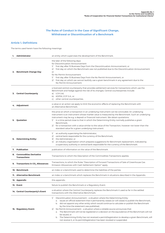#### **The Rules of Conduct in the Case of Significant Change, Withdrawal or Discontinuation of a Benchmark**

#### **Article 1. Definitions**

The terms used herein have the following meanings:

| 1. | <b>Administrator</b>                             | an entity which supervises the development of the Benchmark.                                                                                                                                                                                                                                                                                                                                                                                                                                                                                                                                                                                                                                                                       |
|----|--------------------------------------------------|------------------------------------------------------------------------------------------------------------------------------------------------------------------------------------------------------------------------------------------------------------------------------------------------------------------------------------------------------------------------------------------------------------------------------------------------------------------------------------------------------------------------------------------------------------------------------------------------------------------------------------------------------------------------------------------------------------------------------------|
|    | 2. Benchmark Change Day                          | the later of the following days:<br>for Discontinuation Announcement<br>first day after 15 Business Days from the Discontinuation Announcement, or<br>$\frac{1}{2}$<br>2/ first day on which the Benchmark was not published due to the Discontinuation Announcement.<br>or<br>for No Permit Announcement<br>1/ first day after 15 Business Days from the No Permit Announcement, or<br>2/ first day on which we cannot lawfully use a given benchmark in any agreement due to the<br>No Permit Announcement.                                                                                                                                                                                                                      |
|    | 3. Central Counterparty                          | a licenced central counterparty that provides settlement services for transactions which use the<br>Benchmark and hedge against the risk of its changes. Central counterparties include:<br>a) LCH Ltd,<br>b) KDPW_CCP S.A., or<br>c) other central counterparties.                                                                                                                                                                                                                                                                                                                                                                                                                                                                |
|    | 4. Adjustment                                    | a value or an action we apply to limit the economic effects of replacing the Benchmark with<br>an Alternative Benchmark.                                                                                                                                                                                                                                                                                                                                                                                                                                                                                                                                                                                                           |
|    | 5. Quotation                                     | the price at which a transaction in an underlying instrument can be concluded. An underlying<br>instrument is an instrument whose market value is measured by the Benchmark. Such an underlying<br>instrument may be e.g. a deposit or financial instrument. We obtain quotations:<br>1/ in a time period close to that in which the Determining Entity normally publishes a given<br>Benchmark;<br>2/ for a transaction with a value similar to the value of the Transaction, however not lower than the<br>standard value for a given underlying instrument.                                                                                                                                                                     |
|    | 6. Determining Entity:                           | an authority supervising the Administrator,<br>$\frac{1}{2}$<br>2/ central bank responsible for the currency of the Benchmark,<br>3/ the Administrator, or<br>4/ an industry organisation which prepares suggestions for Benchmark replacement, indicated by<br>a supervisory authority or central bank responsible for the currency of the Benchmark.                                                                                                                                                                                                                                                                                                                                                                             |
|    | 7. Publication                                   | publication of information on the value of the Benchmark.                                                                                                                                                                                                                                                                                                                                                                                                                                                                                                                                                                                                                                                                          |
|    | 8. Commodities Derivative<br><b>Transactions</b> | Transactions to which the Description of the Commodities Transactions applies.                                                                                                                                                                                                                                                                                                                                                                                                                                                                                                                                                                                                                                                     |
|    | 9. Transactions in CO <sub>2</sub> Allowances    | Transactions, to which the Rules "Description of Forward Transactions of Sale of Greenhouse Gas<br>Emission Allowances with Cash Settlement Option" apply.                                                                                                                                                                                                                                                                                                                                                                                                                                                                                                                                                                         |
|    | 10. Benchmark                                    | an index or a benchmark used to determine the liabilities of the parties.                                                                                                                                                                                                                                                                                                                                                                                                                                                                                                                                                                                                                                                          |
|    | 11. Alternative Benchmark                        | an index or a benchmark which replaces the Benchmark in situations described in the Appendix.                                                                                                                                                                                                                                                                                                                                                                                                                                                                                                                                                                                                                                      |
|    | 12. Appendix                                     | this appendix.                                                                                                                                                                                                                                                                                                                                                                                                                                                                                                                                                                                                                                                                                                                     |
|    | 13. Event                                        | failure to publish the Benchmark or a Regulatory Event.                                                                                                                                                                                                                                                                                                                                                                                                                                                                                                                                                                                                                                                                            |
|    | 14. Central Counterparty's Event                 | a situation where the Central Counterparty replaces the Benchmark it used so far in the settled<br>transactions with the Alternative Benchmark.                                                                                                                                                                                                                                                                                                                                                                                                                                                                                                                                                                                    |
|    | 15. Regulatory Event:                            | 1/<br>Discontinuation Announcement - a situation where the Determining Entity:<br>a. issues an official statement that it permanently ceases (or will cease) to publish the Benchmark,<br>b. did not appoint any other entity which would continue to calculate or publish the Benchmark<br>by the time the statement was published;<br>2/ No Permit Announcement – a situation where a reliable source announces that:<br>a. The Benchmark will not be registered or a decision on the equivalence of the Benchmark will not<br>be issued, or<br>b. The Determining Entity has not received a permit/registration to develop a given Benchmark, will<br>not receive it, or its permit/registration has been revoked or suspended. |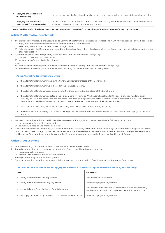**16. applying the Benchmark on a given day** means that we use the Benchmark published on this day to determine the value of the parties' liabilities. **17. applying the Alternative Benchmark from a given day** means that we use the Alternative Benchmark from this day, on the days on which the Benchmark was supposed to be used under the Transaction Terms.

**Verbs used herein in plural form, such as "we determine", "we select" or "we change" mean actions performed by the Bank.**

#### **Article 2. Alternative Benchmark**

- 1. The provisions of Articles 2-5 are not applied to Commodities Derivative Transactions, Transactions in CO<sub>2</sub> Allowances and Forward Transactions.
- 2. We apply the Alternative Benchmark instead of the Benchmark in the case of:
	- 1/ Regulatory Event from the Benchmark Change Day, or
		- 2/ failure to publish the Benchmark unrelated to a Regulatory Event from the day on which the Benchmark was not published until the day of its republication.
- 3. If, from the day on which a Regulatory Event occurred until the Benchmark Change Day:
	- 1/ the Benchmark was not published, or
	- 2/ we cannot lawfully apply the Benchmark,

then:

- 3/ we determine and apply the Alternative Benchmark without waiting until the Benchmark Change Day,
- 4/ we determine and apply the Alternative Benchmark again from the Benchmark Change Day.

**As the Alternative Benchmark we may use:**

- 1. the Alternative Benchmark used by the Central Counterparty instead of the Benchmark,
- 2. the Alternative Benchmark we indicated in the Transaction Terms,
- 3. the Alternative Benchmark recommended by the Determining Entity instead of the Benchmark,
- 4. the Alternative Benchmark selected by us Bloomberg FX Fixing or WM/Reuters Spot Rate for the spot exchange rate for a given currency pair from the same time and the same time zone as the publication of the Benchmark; for other benchmarks – the Alternative Benchmark applied by us instead of the Benchmark in derivative transactions on the interbank market;
- 5. arithmetic mean of the Quotations received only when we received at least two Quotations,
- 6. the reference rate applied by the central bank responsible for the currency of the Benchmark only if we could not apply the previous methods.
- We select one of the methods listed in the table in an economically justified manner. We take the following into account:
	- 1/ practice on the interbank market, and
	- 2/ solutions we used on the interbank market.
- If we cannot freely select the method, we apply the methods according to the order in the table. If a given method does not yield any results until the Benchmark Change Day, we use the subsequent one. If several Determining Entities or several Central Counterparties recommend an Alternative Benchmark, we apply the Alternative Benchmark recommended by the first entity listed in the definition.

#### **Article 3. Adjustment**

- 1. After determining the Alternative Benchmark, we determine the Adjustment.
- 2. The Adjustment changes the value of the Alternative Benchmark. The Adjustment may be:
	- 1/ negative, positive, or zero,
	- 2/ defined with a formula or a calculation method.
	- The Adjustment may be a one-time payment.
- 3. Once we determine the Adjustment, we apply it throughout the entire period of application of the Alternative Benchmark.

| The Rules of Conduct in the Case of Applying the Alternative Benchmark Applied or Recommended by Another Entity |                                                              |                                                                                                                             |  |
|-----------------------------------------------------------------------------------------------------------------|--------------------------------------------------------------|-----------------------------------------------------------------------------------------------------------------------------|--|
| Case                                                                                                            |                                                              | Procedure                                                                                                                   |  |
| a)                                                                                                              | entity recommended the Adjustment                            | we apply such Adjustment                                                                                                    |  |
| b)                                                                                                              | entity did not recommend any Adjustment                      | we do not apply the Adjustment                                                                                              |  |
| C)                                                                                                              | entity did not refer to the issue of the Adjustment          | we apply the Adjustment determined by us in an economically<br>justified manner, with the purpose of the Adjustment in mind |  |
| d)                                                                                                              | we apply the mean of Quotations as the Alternative Benchmark | we do not apply the Adjustment                                                                                              |  |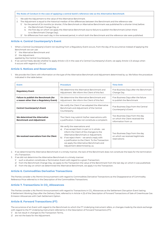#### **The Rules of Conduct in the case of applying a central bank's reference rate as the Alternative Benchmark**

- 1. We add the Adjustment to the value of the Alternative Benchmark.
- 2. The Adjustment is equal to the historical median of the differences between the Benchmark and the reference rate:
	- 1/ for the period of 24 months (or shorter, if the Benchmark or Alternative Benchmark was published for a shorter time) before: a. the Benchmark Change Day, or
		- b. the first day on which we apply the Alternative Benchmark due to failure to publish the Benchmark (when there is no Benchmark Change Day);
	- 2/ for differences from each day in the reviewed period, in which both the Benchmark and the reference rate were published.

#### **Article 4. Central Counterparty's Event**

- 1. When a Central Counterparty's Event not resulting from a Regulatory Event occurs, from the day of its occurrence instead of applying the Benchmark we can use:
	- 1/ the Alternative Benchmark and
	- 2/ the Adjustment
	- applied by the Central Counterparty.
- 2. If we cannot freely decide whether to apply Article 4 (1) in the case of a Central Counterparty's Event, we apply Article 4 (1) always when it occurs with regard to LCH Ltd.

#### **Article 5. Notices and Reservations**

1. We provide the Client with information on the type of the Alternative Benchmark and Adjustment determined by us. We follow the procedure indicated in the table below:

| <b>Event</b>                                                                     | <b>Procedure</b>                                                                                                                                                                                                                                                                                                                                        | <b>Time limit</b>                                                                         |
|----------------------------------------------------------------------------------|---------------------------------------------------------------------------------------------------------------------------------------------------------------------------------------------------------------------------------------------------------------------------------------------------------------------------------------------------------|-------------------------------------------------------------------------------------------|
| <b>Regulatory Event</b>                                                          | We determine the Alternative Benchmark and<br>Adjustment. We inform the Client of this fact.                                                                                                                                                                                                                                                            | Five Business Days after the Benchmark<br>Change Day                                      |
| Failure to publish the Benchmark (for<br>a reason other than a Regulatory Event) | We determine the Alternative Benchmark and<br>Adjustment. We inform the Client of this fact.                                                                                                                                                                                                                                                            | Five Business Days after the failure<br>to publish the Benchmark                          |
| <b>Central Counterparty's Event</b>                                              | We notify the Client if we adopted the Alternative<br>Benchmark and Adjustment of the Central<br>Counterparty.                                                                                                                                                                                                                                          | Five Business Days from the Central<br>Counterparty's Event                               |
| We determined the Alternative<br><b>Benchmark and Adjustment</b>                 | The Client may submit his/her reservations with<br>a justification. It does not constitute a complaint.                                                                                                                                                                                                                                                 | Two Business Days from the day<br>on which the Client received the<br>information from us |
| We received reservations from the Client                                         | We verify the reservations and:<br>if we accept them in part or in whole - we<br>al<br>inform the Client of the changes to the<br>Alternative Benchmark or Adjustment;<br>if we reject them - we send a reply with<br>b)<br>a justification to the Client. To the Transaction<br>we apply the Alternative Benchmark and<br>Adjustment determined by us. | Two Business Days from the day<br>on which we received legitimate<br>reservations         |

- 2. If we determined the Alternative Benchmark in a timely manner, the lack of the Benchmark does not constitute the basis for the termination of a Transaction.
- 3. If we did not determine the Alternative Benchmark in a timely manner:
	- 1/ such a situation constitutes a Termination Event with regard to a given Transaction;
	- 2/ from the Benchmark Change Day, we apply to the Transaction the value of the Benchmark from the last day on which it was published; 3/ from the day on which we determined the Alternative Benchmark, we apply it to the Transaction.

#### **Article 6. Commodities Derivative Transactions**

The Parties consider a No Permit Announcement with regard to Commodities Derivative Transactions as the Disappearance of Commodity Reference Price referred to in the Description of the Commodities Transactions.

#### **Article 7. Transactions in CO<sub>2</sub> Allowances**

The Parties consider a No Permit Announcement with regard to Transactions in CO<sub>2</sub> Allowances as the Settlement Disruption Event lasting 9 Settlement Working Days after the Delivery Date, referred to in Article 4 (3) of the Description of Forward Transactions of Sale of Greenhouse Gas Emission Allowances with Cash Settlement Option.

#### **Article 8. Forward Transactions (FT)**

The occurrence of an Event with regard to the Benchmark to which the FT Underlying Instrument refers, or changes made by the stock exchange with regard to the FT Underlying Instrument referred to in the Description of Forward Transactions (FT):

- 1/ do not result in changes to the Transaction Terms,
- 2/ are not the basis for the Adjustment.